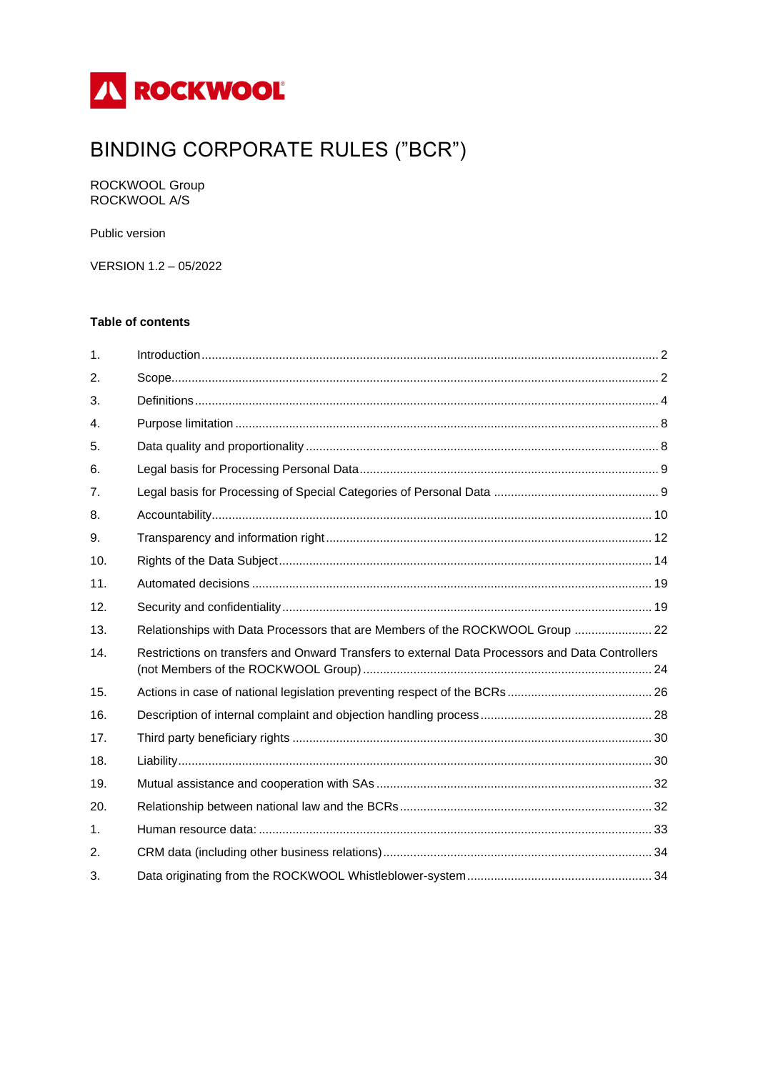

# **BINDING CORPORATE RULES ("BCR")**

ROCKWOOL Group<br>ROCKWOOL A/S

Public version

VERSION 1.2 - 05/2022

## **Table of contents**

| $\mathbf{1}$ . |                                                                                                 |  |
|----------------|-------------------------------------------------------------------------------------------------|--|
| 2.             |                                                                                                 |  |
| 3.             |                                                                                                 |  |
| $\mathbf{4}$ . |                                                                                                 |  |
| 5.             |                                                                                                 |  |
| 6.             |                                                                                                 |  |
| 7 <sub>1</sub> |                                                                                                 |  |
| 8.             |                                                                                                 |  |
| 9.             |                                                                                                 |  |
| 10.            |                                                                                                 |  |
| 11.            |                                                                                                 |  |
| 12.            |                                                                                                 |  |
| 13.            | Relationships with Data Processors that are Members of the ROCKWOOL Group  22                   |  |
| 14.            | Restrictions on transfers and Onward Transfers to external Data Processors and Data Controllers |  |
| 15.            |                                                                                                 |  |
| 16.            |                                                                                                 |  |
|                |                                                                                                 |  |
| 17.            |                                                                                                 |  |
| 18.            |                                                                                                 |  |
| 19.            |                                                                                                 |  |
| 20.            |                                                                                                 |  |
| 1.             |                                                                                                 |  |
| 2.             |                                                                                                 |  |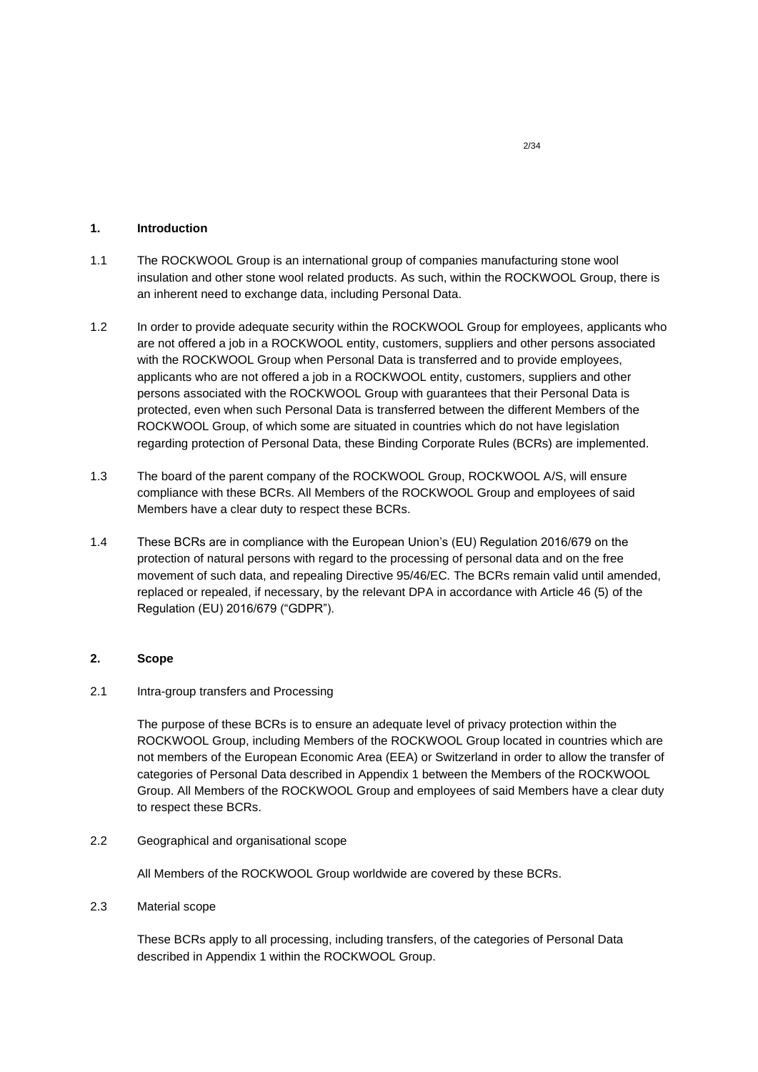## <span id="page-1-0"></span>**1. Introduction**

- 1.1 The ROCKWOOL Group is an international group of companies manufacturing stone wool insulation and other stone wool related products. As such, within the ROCKWOOL Group, there is an inherent need to exchange data, including Personal Data.
- 1.2 In order to provide adequate security within the ROCKWOOL Group for employees, applicants who are not offered a job in a ROCKWOOL entity, customers, suppliers and other persons associated with the ROCKWOOL Group when Personal Data is transferred and to provide employees, applicants who are not offered a job in a ROCKWOOL entity, customers, suppliers and other persons associated with the ROCKWOOL Group with guarantees that their Personal Data is protected, even when such Personal Data is transferred between the different Members of the ROCKWOOL Group, of which some are situated in countries which do not have legislation regarding protection of Personal Data, these Binding Corporate Rules (BCRs) are implemented.
- 1.3 The board of the parent company of the ROCKWOOL Group, ROCKWOOL A/S, will ensure compliance with these BCRs. All Members of the ROCKWOOL Group and employees of said Members have a clear duty to respect these BCRs.
- 1.4 These BCRs are in compliance with the European Union's (EU) Regulation 2016/679 on the protection of natural persons with regard to the processing of personal data and on the free movement of such data, and repealing Directive 95/46/EC. The BCRs remain valid until amended, replaced or repealed, if necessary, by the relevant DPA in accordance with Article 46 (5) of the Regulation (EU) 2016/679 ("GDPR").

## <span id="page-1-1"></span>**2. Scope**

# 2.1 Intra-group transfers and Processing

The purpose of these BCRs is to ensure an adequate level of privacy protection within the ROCKWOOL Group, including Members of the ROCKWOOL Group located in countries which are not members of the European Economic Area (EEA) or Switzerland in order to allow the transfer of categories of Personal Data described in Appendix 1 between the Members of the ROCKWOOL Group. All Members of the ROCKWOOL Group and employees of said Members have a clear duty to respect these BCRs.

2.2 Geographical and organisational scope

All Members of the ROCKWOOL Group worldwide are covered by these BCRs.

2.3 Material scope

These BCRs apply to all processing, including transfers, of the categories of Personal Data described in Appendix 1 within the ROCKWOOL Group.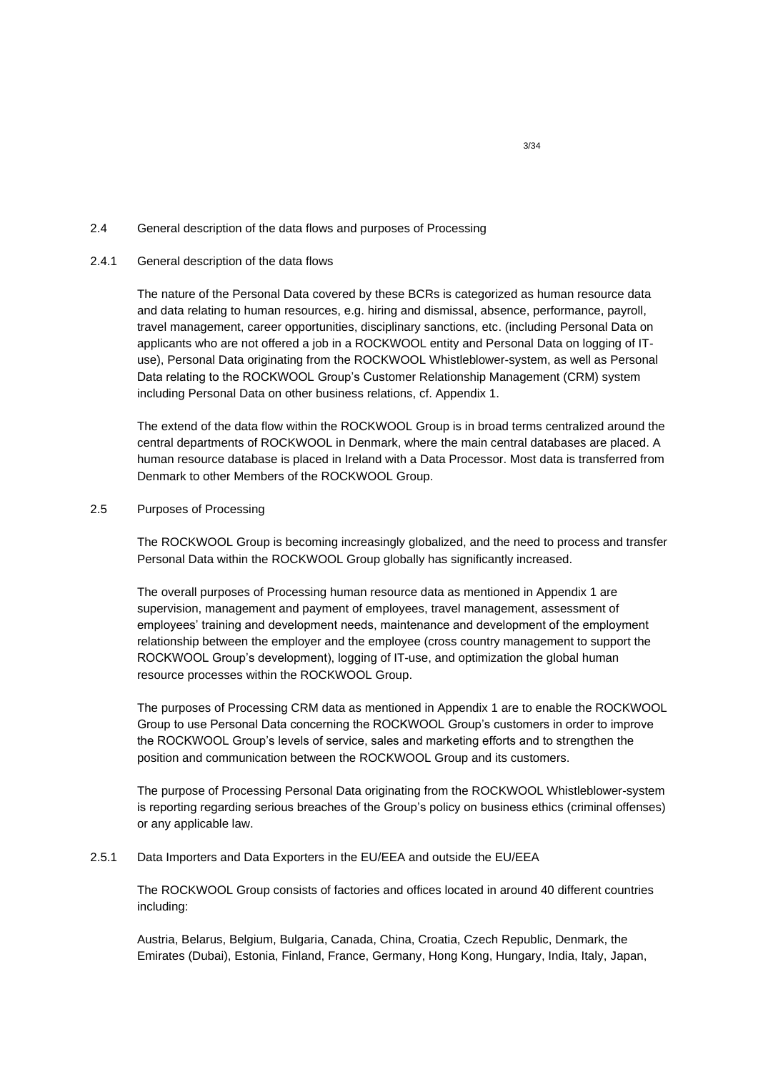## 2.4 General description of the data flows and purposes of Processing

## 2.4.1 General description of the data flows

The nature of the Personal Data covered by these BCRs is categorized as human resource data and data relating to human resources, e.g. hiring and dismissal, absence, performance, payroll, travel management, career opportunities, disciplinary sanctions, etc. (including Personal Data on applicants who are not offered a job in a ROCKWOOL entity and Personal Data on logging of ITuse), Personal Data originating from the ROCKWOOL Whistleblower-system, as well as Personal Data relating to the ROCKWOOL Group's Customer Relationship Management (CRM) system including Personal Data on other business relations, cf. Appendix 1.

The extend of the data flow within the ROCKWOOL Group is in broad terms centralized around the central departments of ROCKWOOL in Denmark, where the main central databases are placed. A human resource database is placed in Ireland with a Data Processor. Most data is transferred from Denmark to other Members of the ROCKWOOL Group.

# 2.5 Purposes of Processing

The ROCKWOOL Group is becoming increasingly globalized, and the need to process and transfer Personal Data within the ROCKWOOL Group globally has significantly increased.

The overall purposes of Processing human resource data as mentioned in Appendix 1 are supervision, management and payment of employees, travel management, assessment of employees' training and development needs, maintenance and development of the employment relationship between the employer and the employee (cross country management to support the ROCKWOOL Group's development), logging of IT-use, and optimization the global human resource processes within the ROCKWOOL Group.

The purposes of Processing CRM data as mentioned in Appendix 1 are to enable the ROCKWOOL Group to use Personal Data concerning the ROCKWOOL Group's customers in order to improve the ROCKWOOL Group's levels of service, sales and marketing efforts and to strengthen the position and communication between the ROCKWOOL Group and its customers.

The purpose of Processing Personal Data originating from the ROCKWOOL Whistleblower-system is reporting regarding serious breaches of the Group's policy on business ethics (criminal offenses) or any applicable law.

## 2.5.1 Data Importers and Data Exporters in the EU/EEA and outside the EU/EEA

The ROCKWOOL Group consists of factories and offices located in around 40 different countries including:

Austria, Belarus, Belgium, Bulgaria, Canada, China, Croatia, Czech Republic, Denmark, the Emirates (Dubai), Estonia, Finland, France, Germany, Hong Kong, Hungary, India, Italy, Japan,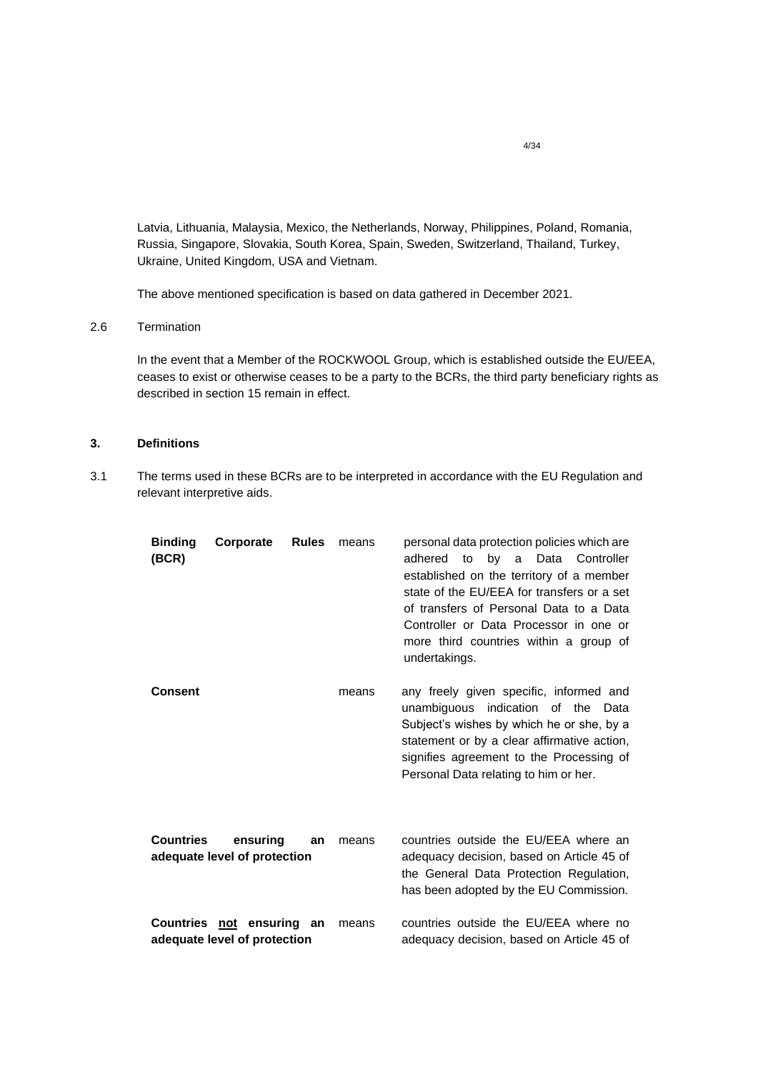Latvia, Lithuania, Malaysia, Mexico, the Netherlands, Norway, Philippines, Poland, Romania, Russia, Singapore, Slovakia, South Korea, Spain, Sweden, Switzerland, Thailand, Turkey, Ukraine, United Kingdom, USA and Vietnam.

The above mentioned specification is based on data gathered in December 2021.

## 2.6 Termination

In the event that a Member of the ROCKWOOL Group, which is established outside the EU/EEA, ceases to exist or otherwise ceases to be a party to the BCRs, the third party beneficiary rights as described in section 15 remain in effect.

# <span id="page-3-0"></span>**3. Definitions**

3.1 The terms used in these BCRs are to be interpreted in accordance with the EU Regulation and relevant interpretive aids.

| <b>Binding</b><br>(BCR) | Corporate                                                 | <b>Rules</b> | means | personal data protection policies which are<br>by<br>adhered<br>to<br>Data Controller<br>a<br>established on the territory of a member<br>state of the EU/EEA for transfers or a set<br>of transfers of Personal Data to a Data<br>Controller or Data Processor in one or<br>more third countries within a group of<br>undertakings. |
|-------------------------|-----------------------------------------------------------|--------------|-------|--------------------------------------------------------------------------------------------------------------------------------------------------------------------------------------------------------------------------------------------------------------------------------------------------------------------------------------|
| Consent                 |                                                           |              | means | any freely given specific, informed and<br>unambiguous indication of the Data<br>Subject's wishes by which he or she, by a<br>statement or by a clear affirmative action,<br>signifies agreement to the Processing of<br>Personal Data relating to him or her.                                                                       |
| <b>Countries</b>        | ensuring<br>adequate level of protection                  | an           | means | countries outside the EU/EEA where an<br>adequacy decision, based on Article 45 of<br>the General Data Protection Regulation,<br>has been adopted by the EU Commission.                                                                                                                                                              |
|                         | Countries not ensuring an<br>adequate level of protection |              | means | countries outside the EU/EEA where no<br>adequacy decision, based on Article 45 of                                                                                                                                                                                                                                                   |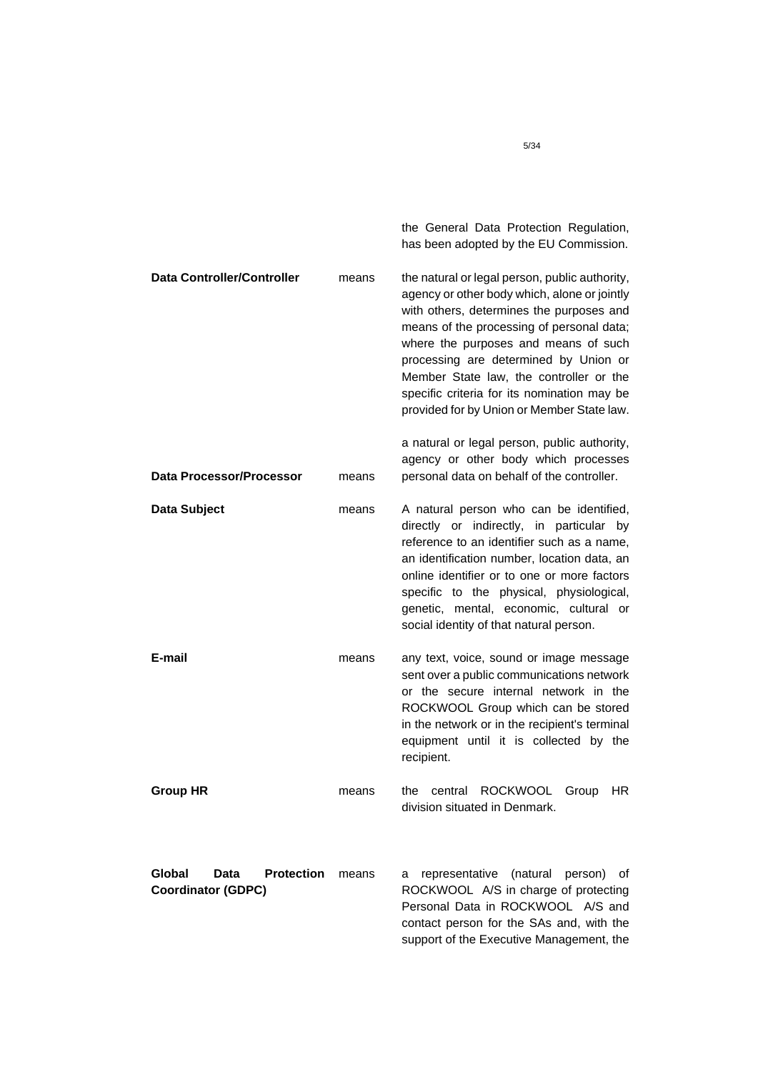|                                                                  |       | the General Data Protection Regulation,<br>has been adopted by the EU Commission.                                                                                                                                                                                                                                                                                                                                |
|------------------------------------------------------------------|-------|------------------------------------------------------------------------------------------------------------------------------------------------------------------------------------------------------------------------------------------------------------------------------------------------------------------------------------------------------------------------------------------------------------------|
| <b>Data Controller/Controller</b>                                | means | the natural or legal person, public authority,<br>agency or other body which, alone or jointly<br>with others, determines the purposes and<br>means of the processing of personal data;<br>where the purposes and means of such<br>processing are determined by Union or<br>Member State law, the controller or the<br>specific criteria for its nomination may be<br>provided for by Union or Member State law. |
| <b>Data Processor/Processor</b>                                  | means | a natural or legal person, public authority,<br>agency or other body which processes<br>personal data on behalf of the controller.                                                                                                                                                                                                                                                                               |
| Data Subject                                                     | means | A natural person who can be identified,<br>directly or indirectly, in particular<br>by<br>reference to an identifier such as a name,<br>an identification number, location data, an<br>online identifier or to one or more factors<br>specific to the physical, physiological,<br>genetic, mental, economic, cultural or<br>social identity of that natural person.                                              |
| E-mail                                                           | means | any text, voice, sound or image message<br>sent over a public communications network<br>or the secure internal network in the<br>ROCKWOOL Group which can be stored<br>in the network or in the recipient's terminal<br>equipment until it is collected by the<br>recipient.                                                                                                                                     |
| <b>Group HR</b>                                                  | means | the central ROCKWOOL Group HR<br>division situated in Denmark.                                                                                                                                                                                                                                                                                                                                                   |
| Global<br><b>Protection</b><br>Data<br><b>Coordinator (GDPC)</b> | means | representative (natural person)<br>οf<br>a<br>ROCKWOOL A/S in charge of protecting<br>Personal Data in ROCKWOOL A/S and<br>contact person for the SAs and, with the<br>support of the Executive Management, the                                                                                                                                                                                                  |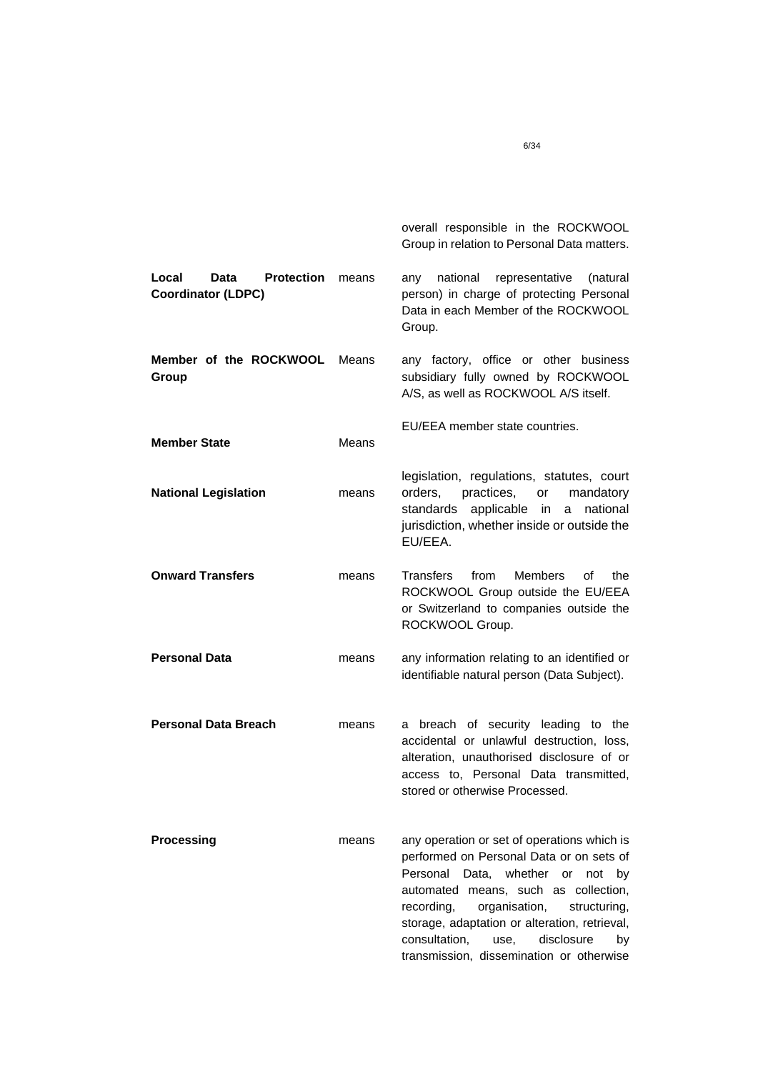|                                                                 |       | overall responsible in the ROCKWOOL<br>Group in relation to Personal Data matters.                                                                                                                                                                                                                                                                                 |
|-----------------------------------------------------------------|-------|--------------------------------------------------------------------------------------------------------------------------------------------------------------------------------------------------------------------------------------------------------------------------------------------------------------------------------------------------------------------|
| <b>Protection</b><br>Local<br>Data<br><b>Coordinator (LDPC)</b> | means | national<br>representative<br>(natural<br>any<br>person) in charge of protecting Personal<br>Data in each Member of the ROCKWOOL<br>Group.                                                                                                                                                                                                                         |
| Member of the ROCKWOOL<br>Group                                 | Means | any factory, office or other business<br>subsidiary fully owned by ROCKWOOL<br>A/S, as well as ROCKWOOL A/S itself.                                                                                                                                                                                                                                                |
| <b>Member State</b>                                             | Means | EU/EEA member state countries.                                                                                                                                                                                                                                                                                                                                     |
| <b>National Legislation</b>                                     | means | legislation, regulations, statutes, court<br>practices,<br>orders,<br>or<br>mandatory<br>standards<br>applicable in<br>national<br>a<br>jurisdiction, whether inside or outside the<br>EU/EEA.                                                                                                                                                                     |
| <b>Onward Transfers</b>                                         | means | from<br><b>Members</b><br>Transfers<br>οf<br>the<br>ROCKWOOL Group outside the EU/EEA<br>or Switzerland to companies outside the<br>ROCKWOOL Group.                                                                                                                                                                                                                |
| <b>Personal Data</b>                                            | means | any information relating to an identified or<br>identifiable natural person (Data Subject).                                                                                                                                                                                                                                                                        |
| <b>Personal Data Breach</b>                                     | means | a breach of security leading to the<br>accidental or unlawful destruction, loss,<br>alteration, unauthorised disclosure of or<br>access to, Personal Data transmitted,<br>stored or otherwise Processed.                                                                                                                                                           |
| Processing                                                      | means | any operation or set of operations which is<br>performed on Personal Data or on sets of<br>Personal<br>Data, whether or not<br>by<br>automated means, such as collection,<br>organisation,<br>recording,<br>structuring,<br>storage, adaptation or alteration, retrieval,<br>disclosure<br>consultation,<br>use,<br>by<br>transmission, dissemination or otherwise |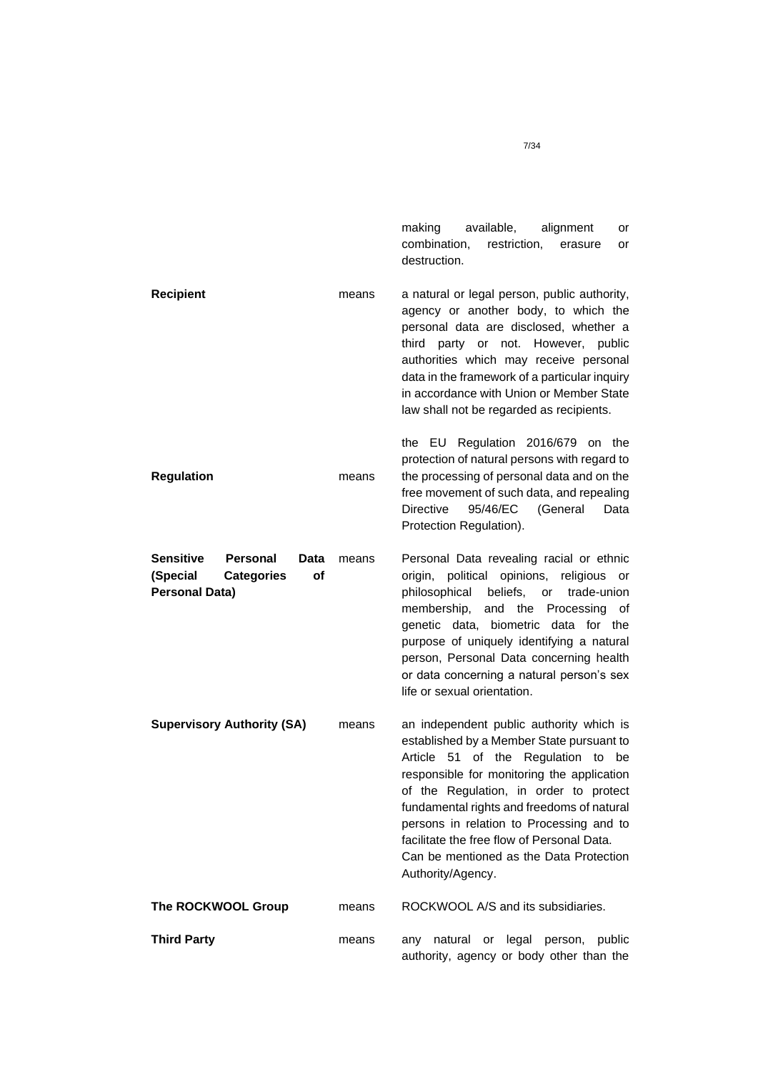making available, alignment or combination, restriction, erasure or destruction.

**Recipient Regulation** means means a natural or legal person, public authority, agency or another body, to which the personal data are disclosed, whether a third party or not. However, public authorities which may receive personal data in the framework of a particular inquiry in accordance with Union or Member State law shall not be regarded as recipients. the EU Regulation 2016/679 on the protection of natural persons with regard to the processing of personal data and on the free movement of such data, and repealing Directive 95/46/EC (General Data Protection Regulation). **Sensitive Personal (Special Categories of Personal Data) Supervisory Authority (SA)** Data means means Personal Data revealing racial or ethnic origin, political opinions, religious or philosophical beliefs, or trade-union membership, and the Processing of genetic data, biometric data for the purpose of uniquely identifying a natural person, Personal Data concerning health or data concerning a natural person's sex life or sexual orientation. an independent public authority which is established by a Member State pursuant to Article 51 of the Regulation to be responsible for monitoring the application of the Regulation, in order to protect fundamental rights and freedoms of natural persons in relation to Processing and to facilitate the free flow of Personal Data. Can be mentioned as the Data Protection Authority/Agency. **The ROCKWOOL Group** means ROCKWOOL A/S and its subsidiaries. **Third Party means** any natural or legal person, public authority, agency or body other than the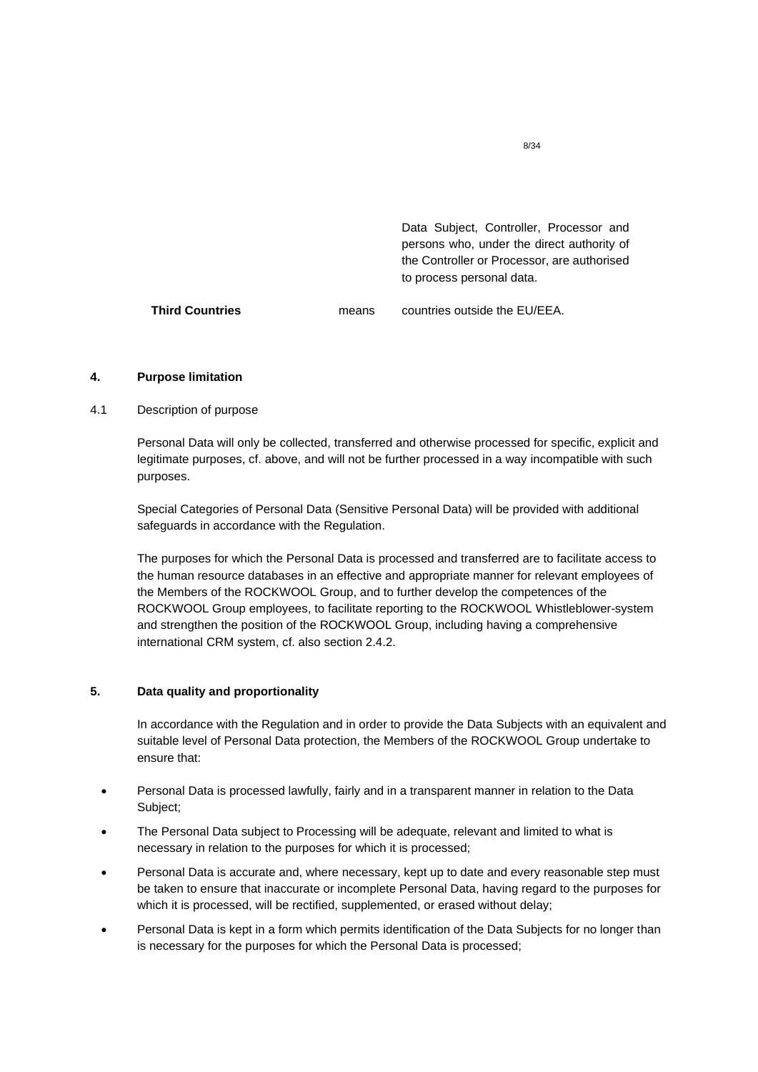|                 |       | Data Subject, Controller, Processor and<br>persons who, under the direct authority of<br>the Controller or Processor, are authorised<br>to process personal data. |
|-----------------|-------|-------------------------------------------------------------------------------------------------------------------------------------------------------------------|
| Third Countries | means | countries outside the EU/EEA.                                                                                                                                     |

## <span id="page-7-0"></span>**4. Purpose limitation**

# 4.1 Description of purpose

Personal Data will only be collected, transferred and otherwise processed for specific, explicit and legitimate purposes, cf. above, and will not be further processed in a way incompatible with such purposes.

Special Categories of Personal Data (Sensitive Personal Data) will be provided with additional safeguards in accordance with the Regulation.

The purposes for which the Personal Data is processed and transferred are to facilitate access to the human resource databases in an effective and appropriate manner for relevant employees of the Members of the ROCKWOOL Group, and to further develop the competences of the ROCKWOOL Group employees, to facilitate reporting to the ROCKWOOL Whistleblower-system and strengthen the position of the ROCKWOOL Group, including having a comprehensive international CRM system, cf. also section 2.4.2.

# <span id="page-7-1"></span>**5. Data quality and proportionality**

In accordance with the Regulation and in order to provide the Data Subjects with an equivalent and suitable level of Personal Data protection, the Members of the ROCKWOOL Group undertake to ensure that:

- Personal Data is processed lawfully, fairly and in a transparent manner in relation to the Data Subject;
- The Personal Data subject to Processing will be adequate, relevant and limited to what is necessary in relation to the purposes for which it is processed;
- Personal Data is accurate and, where necessary, kept up to date and every reasonable step must be taken to ensure that inaccurate or incomplete Personal Data, having regard to the purposes for which it is processed, will be rectified, supplemented, or erased without delay;
- Personal Data is kept in a form which permits identification of the Data Subjects for no longer than is necessary for the purposes for which the Personal Data is processed;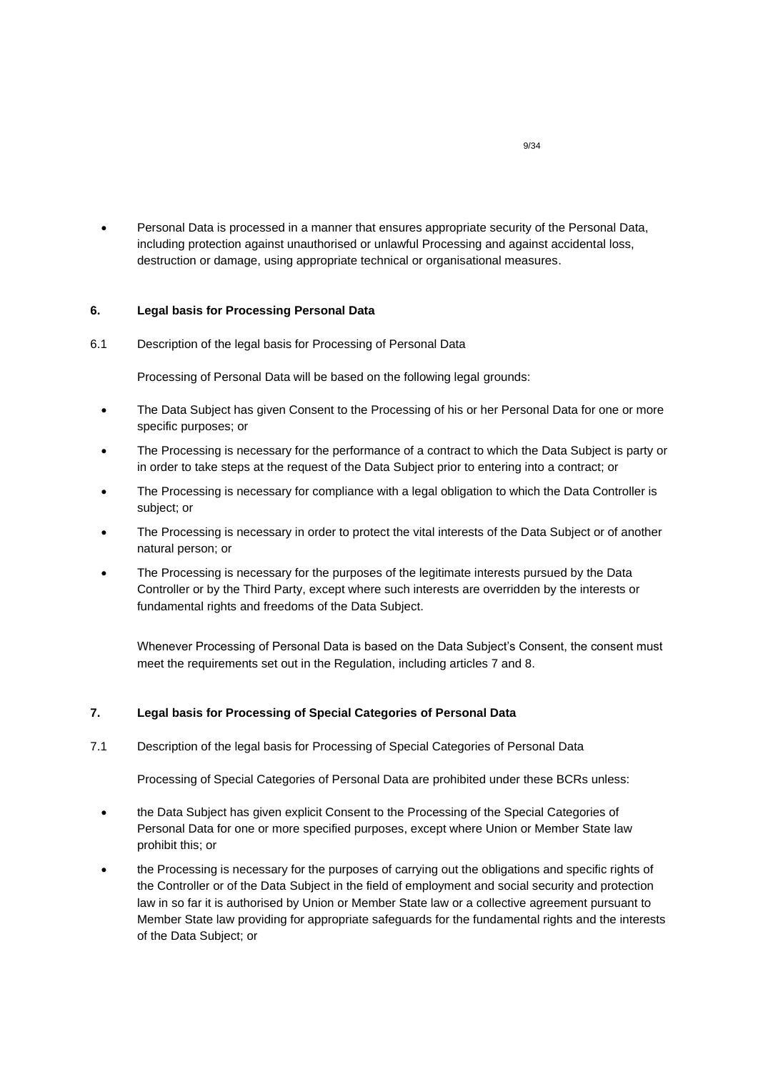• Personal Data is processed in a manner that ensures appropriate security of the Personal Data, including protection against unauthorised or unlawful Processing and against accidental loss, destruction or damage, using appropriate technical or organisational measures.

## <span id="page-8-0"></span>**6. Legal basis for Processing Personal Data**

6.1 Description of the legal basis for Processing of Personal Data

Processing of Personal Data will be based on the following legal grounds:

- The Data Subject has given Consent to the Processing of his or her Personal Data for one or more specific purposes; or
- The Processing is necessary for the performance of a contract to which the Data Subject is party or in order to take steps at the request of the Data Subject prior to entering into a contract; or
- The Processing is necessary for compliance with a legal obligation to which the Data Controller is subject; or
- The Processing is necessary in order to protect the vital interests of the Data Subject or of another natural person; or
- The Processing is necessary for the purposes of the legitimate interests pursued by the Data Controller or by the Third Party, except where such interests are overridden by the interests or fundamental rights and freedoms of the Data Subject.

Whenever Processing of Personal Data is based on the Data Subject's Consent, the consent must meet the requirements set out in the Regulation, including articles 7 and 8.

## <span id="page-8-1"></span>**7. Legal basis for Processing of Special Categories of Personal Data**

7.1 Description of the legal basis for Processing of Special Categories of Personal Data

Processing of Special Categories of Personal Data are prohibited under these BCRs unless:

- the Data Subject has given explicit Consent to the Processing of the Special Categories of Personal Data for one or more specified purposes, except where Union or Member State law prohibit this; or
- the Processing is necessary for the purposes of carrying out the obligations and specific rights of the Controller or of the Data Subject in the field of employment and social security and protection law in so far it is authorised by Union or Member State law or a collective agreement pursuant to Member State law providing for appropriate safeguards for the fundamental rights and the interests of the Data Subject; or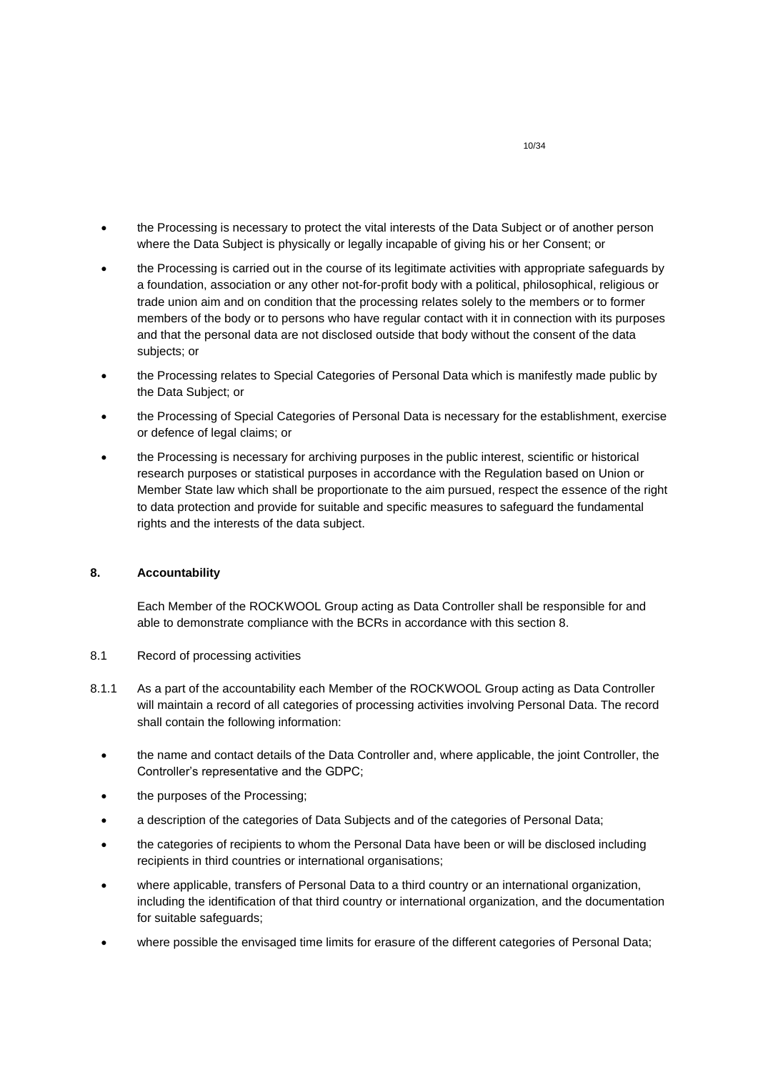- the Processing is necessary to protect the vital interests of the Data Subject or of another person where the Data Subject is physically or legally incapable of giving his or her Consent; or
- the Processing is carried out in the course of its legitimate activities with appropriate safeguards by a foundation, association or any other not-for-profit body with a political, philosophical, religious or trade union aim and on condition that the processing relates solely to the members or to former members of the body or to persons who have regular contact with it in connection with its purposes and that the personal data are not disclosed outside that body without the consent of the data subjects; or
- the Processing relates to Special Categories of Personal Data which is manifestly made public by the Data Subject; or
- the Processing of Special Categories of Personal Data is necessary for the establishment, exercise or defence of legal claims; or
- the Processing is necessary for archiving purposes in the public interest, scientific or historical research purposes or statistical purposes in accordance with the Regulation based on Union or Member State law which shall be proportionate to the aim pursued, respect the essence of the right to data protection and provide for suitable and specific measures to safeguard the fundamental rights and the interests of the data subject.

## <span id="page-9-0"></span>**8. Accountability**

Each Member of the ROCKWOOL Group acting as Data Controller shall be responsible for and able to demonstrate compliance with the BCRs in accordance with this section 8.

- 8.1 Record of processing activities
- 8.1.1 As a part of the accountability each Member of the ROCKWOOL Group acting as Data Controller will maintain a record of all categories of processing activities involving Personal Data. The record shall contain the following information:
	- the name and contact details of the Data Controller and, where applicable, the joint Controller, the Controller's representative and the GDPC;
	- the purposes of the Processing;
	- a description of the categories of Data Subjects and of the categories of Personal Data;
	- the categories of recipients to whom the Personal Data have been or will be disclosed including recipients in third countries or international organisations;
	- where applicable, transfers of Personal Data to a third country or an international organization, including the identification of that third country or international organization, and the documentation for suitable safeguards;
	- where possible the envisaged time limits for erasure of the different categories of Personal Data;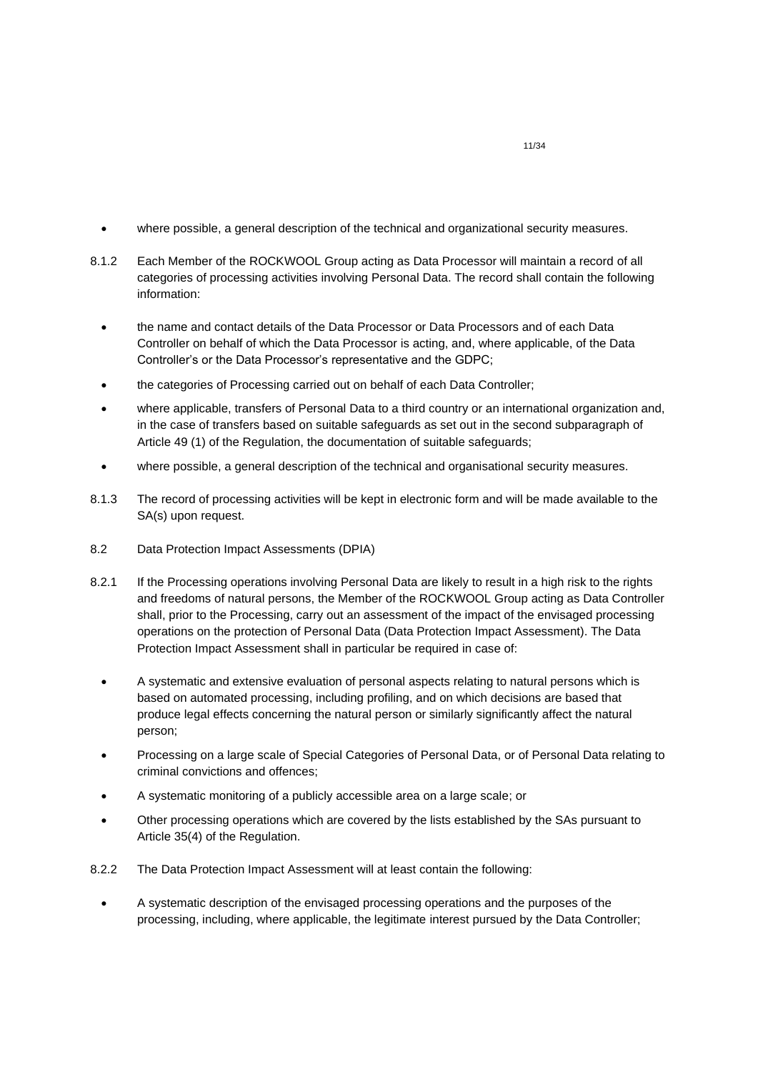- where possible, a general description of the technical and organizational security measures.
- 8.1.2 Each Member of the ROCKWOOL Group acting as Data Processor will maintain a record of all categories of processing activities involving Personal Data. The record shall contain the following information:
	- the name and contact details of the Data Processor or Data Processors and of each Data Controller on behalf of which the Data Processor is acting, and, where applicable, of the Data Controller's or the Data Processor's representative and the GDPC;
	- the categories of Processing carried out on behalf of each Data Controller;
	- where applicable, transfers of Personal Data to a third country or an international organization and, in the case of transfers based on suitable safeguards as set out in the second subparagraph of Article 49 (1) of the Regulation, the documentation of suitable safeguards;
	- where possible, a general description of the technical and organisational security measures.
- 8.1.3 The record of processing activities will be kept in electronic form and will be made available to the SA(s) upon request.
- 8.2 Data Protection Impact Assessments (DPIA)
- 8.2.1 If the Processing operations involving Personal Data are likely to result in a high risk to the rights and freedoms of natural persons, the Member of the ROCKWOOL Group acting as Data Controller shall, prior to the Processing, carry out an assessment of the impact of the envisaged processing operations on the protection of Personal Data (Data Protection Impact Assessment). The Data Protection Impact Assessment shall in particular be required in case of:
	- A systematic and extensive evaluation of personal aspects relating to natural persons which is based on automated processing, including profiling, and on which decisions are based that produce legal effects concerning the natural person or similarly significantly affect the natural person;
	- Processing on a large scale of Special Categories of Personal Data, or of Personal Data relating to criminal convictions and offences;
	- A systematic monitoring of a publicly accessible area on a large scale; or
	- Other processing operations which are covered by the lists established by the SAs pursuant to Article 35(4) of the Regulation.
- 8.2.2 The Data Protection Impact Assessment will at least contain the following:
	- A systematic description of the envisaged processing operations and the purposes of the processing, including, where applicable, the legitimate interest pursued by the Data Controller;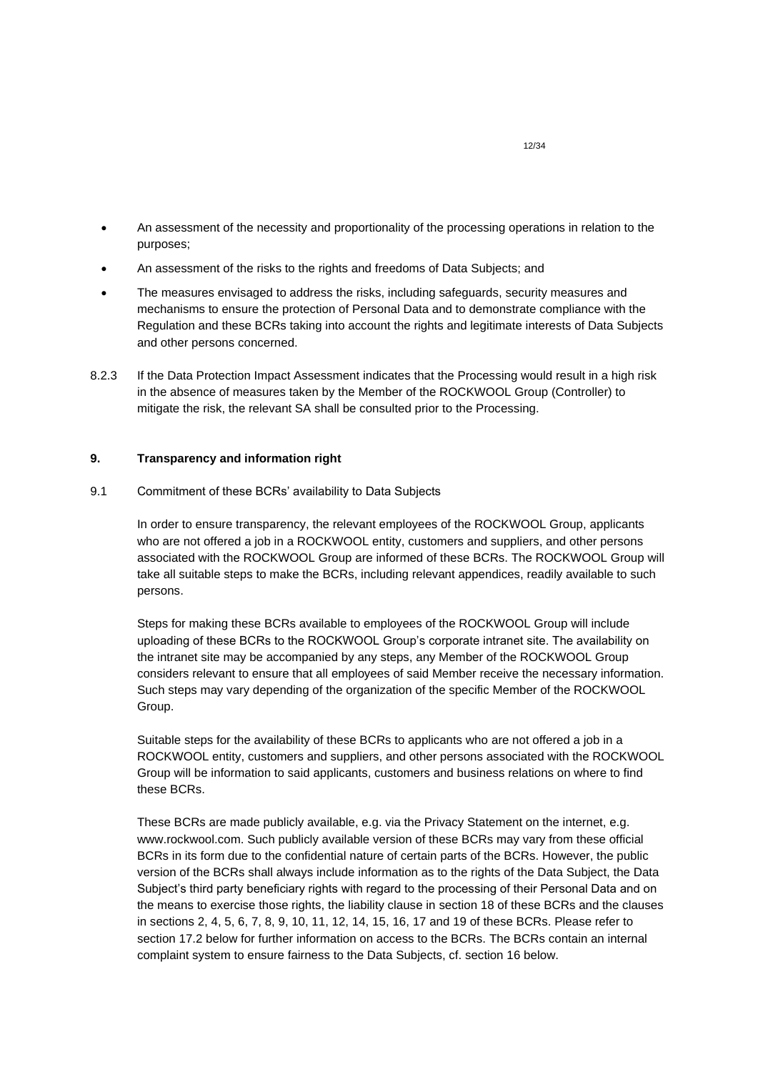- An assessment of the necessity and proportionality of the processing operations in relation to the purposes;
- An assessment of the risks to the rights and freedoms of Data Subjects; and
- The measures envisaged to address the risks, including safeguards, security measures and mechanisms to ensure the protection of Personal Data and to demonstrate compliance with the Regulation and these BCRs taking into account the rights and legitimate interests of Data Subjects and other persons concerned.
- 8.2.3 If the Data Protection Impact Assessment indicates that the Processing would result in a high risk in the absence of measures taken by the Member of the ROCKWOOL Group (Controller) to mitigate the risk, the relevant SA shall be consulted prior to the Processing.

# <span id="page-11-0"></span>**9. Transparency and information right**

9.1 Commitment of these BCRs' availability to Data Subjects

In order to ensure transparency, the relevant employees of the ROCKWOOL Group, applicants who are not offered a job in a ROCKWOOL entity, customers and suppliers, and other persons associated with the ROCKWOOL Group are informed of these BCRs. The ROCKWOOL Group will take all suitable steps to make the BCRs, including relevant appendices, readily available to such persons.

Steps for making these BCRs available to employees of the ROCKWOOL Group will include uploading of these BCRs to the ROCKWOOL Group's corporate intranet site. The availability on the intranet site may be accompanied by any steps, any Member of the ROCKWOOL Group considers relevant to ensure that all employees of said Member receive the necessary information. Such steps may vary depending of the organization of the specific Member of the ROCKWOOL Group.

Suitable steps for the availability of these BCRs to applicants who are not offered a job in a ROCKWOOL entity, customers and suppliers, and other persons associated with the ROCKWOOL Group will be information to said applicants, customers and business relations on where to find these BCRs.

These BCRs are made publicly available, e.g. via the Privacy Statement on the internet, e.g. www.rockwool.com. Such publicly available version of these BCRs may vary from these official BCRs in its form due to the confidential nature of certain parts of the BCRs. However, the public version of the BCRs shall always include information as to the rights of the Data Subject, the Data Subject's third party beneficiary rights with regard to the processing of their Personal Data and on the means to exercise those rights, the liability clause in section 18 of these BCRs and the clauses in sections 2, 4, 5, 6, 7, 8, 9, 10, 11, 12, 14, 15, 16, 17 and 19 of these BCRs. Please refer to section 17.2 below for further information on access to the BCRs. The BCRs contain an internal complaint system to ensure fairness to the Data Subjects, cf. section 16 below.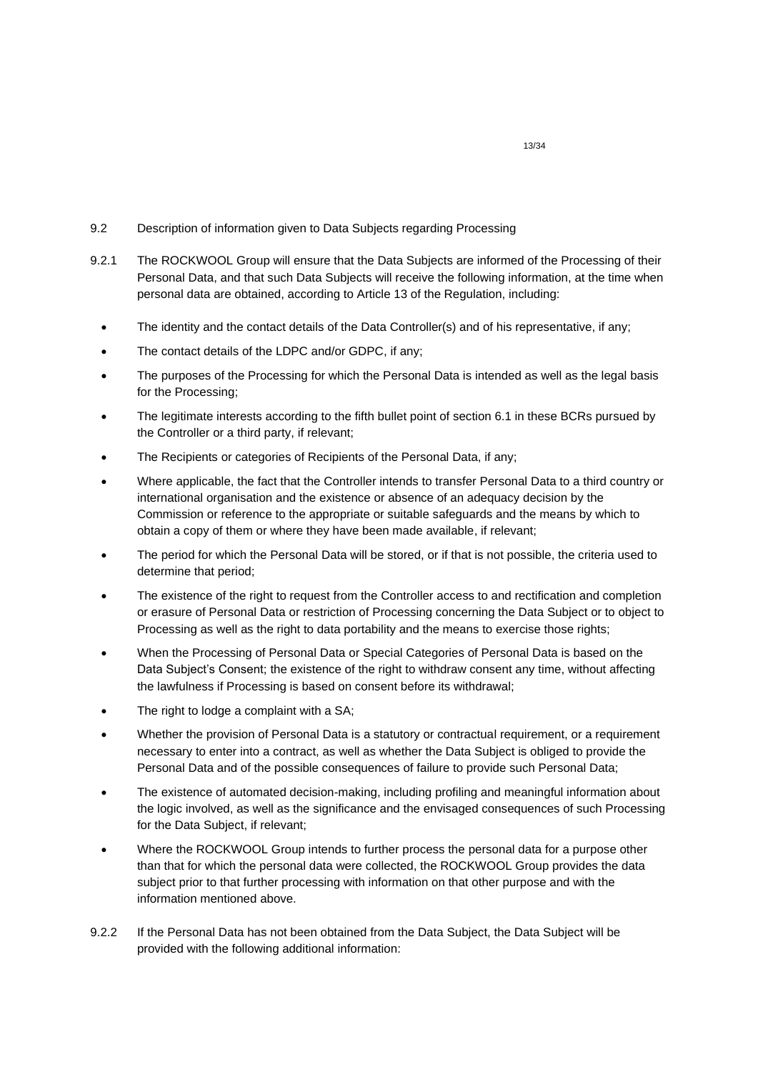- 9.2 Description of information given to Data Subjects regarding Processing
- 9.2.1 The ROCKWOOL Group will ensure that the Data Subjects are informed of the Processing of their Personal Data, and that such Data Subjects will receive the following information, at the time when personal data are obtained, according to Article 13 of the Regulation, including:
	- The identity and the contact details of the Data Controller(s) and of his representative, if any;
	- The contact details of the LDPC and/or GDPC, if any;
	- The purposes of the Processing for which the Personal Data is intended as well as the legal basis for the Processing;
	- The legitimate interests according to the fifth bullet point of section 6.1 in these BCRs pursued by the Controller or a third party, if relevant;
	- The Recipients or categories of Recipients of the Personal Data, if any:
	- Where applicable, the fact that the Controller intends to transfer Personal Data to a third country or international organisation and the existence or absence of an adequacy decision by the Commission or reference to the appropriate or suitable safeguards and the means by which to obtain a copy of them or where they have been made available, if relevant;
	- The period for which the Personal Data will be stored, or if that is not possible, the criteria used to determine that period;
	- The existence of the right to request from the Controller access to and rectification and completion or erasure of Personal Data or restriction of Processing concerning the Data Subject or to object to Processing as well as the right to data portability and the means to exercise those rights;
	- When the Processing of Personal Data or Special Categories of Personal Data is based on the Data Subject's Consent; the existence of the right to withdraw consent any time, without affecting the lawfulness if Processing is based on consent before its withdrawal;
	- The right to lodge a complaint with a SA;
	- Whether the provision of Personal Data is a statutory or contractual requirement, or a requirement necessary to enter into a contract, as well as whether the Data Subject is obliged to provide the Personal Data and of the possible consequences of failure to provide such Personal Data;
	- The existence of automated decision-making, including profiling and meaningful information about the logic involved, as well as the significance and the envisaged consequences of such Processing for the Data Subject, if relevant;
	- Where the ROCKWOOL Group intends to further process the personal data for a purpose other than that for which the personal data were collected, the ROCKWOOL Group provides the data subject prior to that further processing with information on that other purpose and with the information mentioned above.
- 9.2.2 If the Personal Data has not been obtained from the Data Subject, the Data Subject will be provided with the following additional information: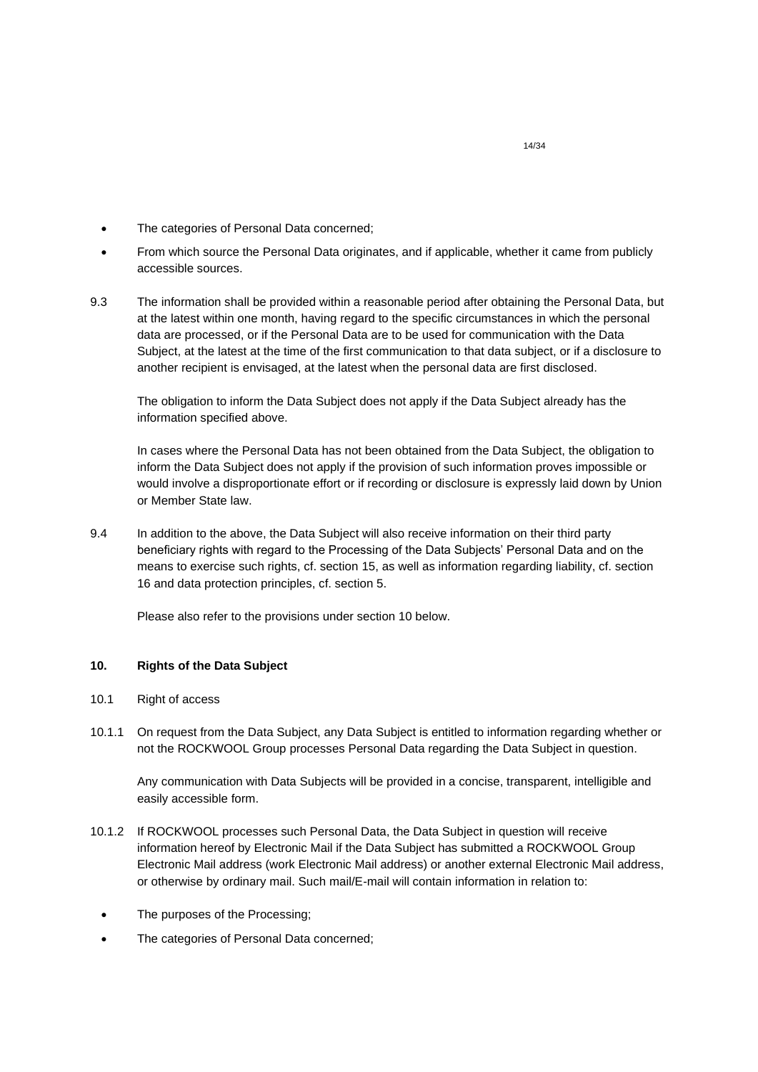- The categories of Personal Data concerned;
- From which source the Personal Data originates, and if applicable, whether it came from publicly accessible sources.
- 9.3 The information shall be provided within a reasonable period after obtaining the Personal Data, but at the latest within one month, having regard to the specific circumstances in which the personal data are processed, or if the Personal Data are to be used for communication with the Data Subject, at the latest at the time of the first communication to that data subject, or if a disclosure to another recipient is envisaged, at the latest when the personal data are first disclosed.

The obligation to inform the Data Subject does not apply if the Data Subject already has the information specified above.

In cases where the Personal Data has not been obtained from the Data Subject, the obligation to inform the Data Subject does not apply if the provision of such information proves impossible or would involve a disproportionate effort or if recording or disclosure is expressly laid down by Union or Member State law.

9.4 In addition to the above, the Data Subject will also receive information on their third party beneficiary rights with regard to the Processing of the Data Subjects' Personal Data and on the means to exercise such rights, cf. section 15, as well as information regarding liability, cf. section 16 and data protection principles, cf. section 5.

Please also refer to the provisions under section 10 below.

# <span id="page-13-0"></span>**10. Rights of the Data Subject**

- 10.1 Right of access
- 10.1.1 On request from the Data Subject, any Data Subject is entitled to information regarding whether or not the ROCKWOOL Group processes Personal Data regarding the Data Subject in question.

Any communication with Data Subjects will be provided in a concise, transparent, intelligible and easily accessible form.

- 10.1.2 If ROCKWOOL processes such Personal Data, the Data Subject in question will receive information hereof by Electronic Mail if the Data Subject has submitted a ROCKWOOL Group Electronic Mail address (work Electronic Mail address) or another external Electronic Mail address, or otherwise by ordinary mail. Such mail/E-mail will contain information in relation to:
	- The purposes of the Processing:
	- The categories of Personal Data concerned;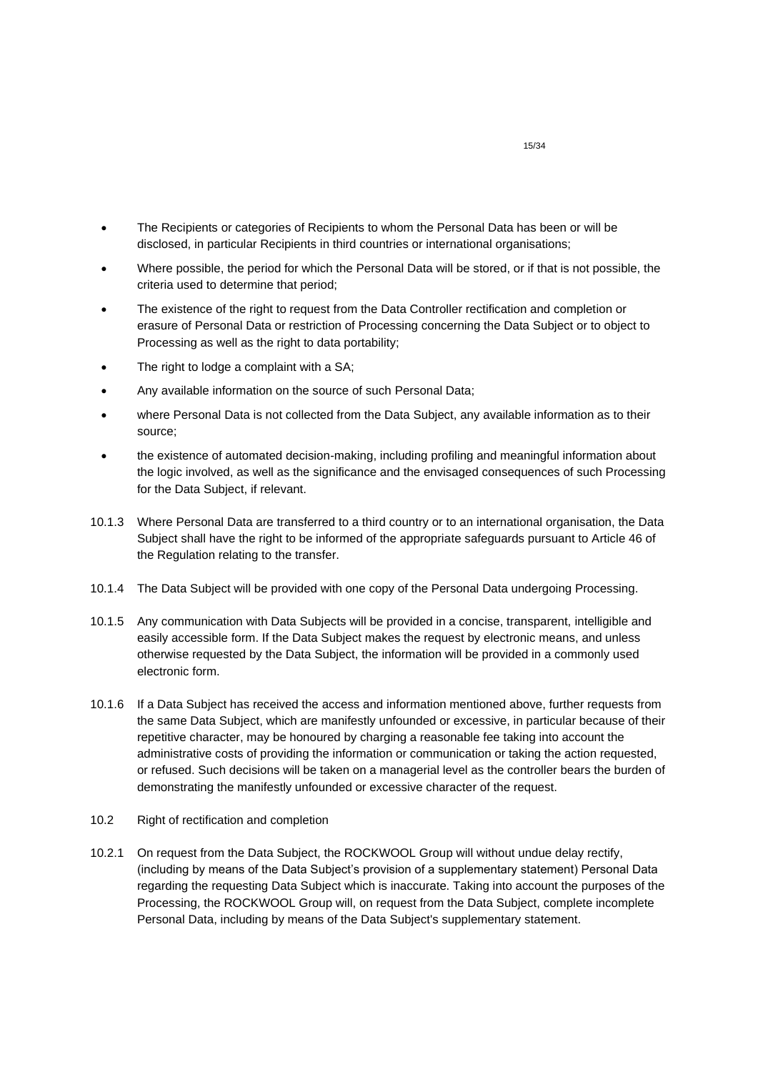- The Recipients or categories of Recipients to whom the Personal Data has been or will be disclosed, in particular Recipients in third countries or international organisations;
- Where possible, the period for which the Personal Data will be stored, or if that is not possible, the criteria used to determine that period;
- The existence of the right to request from the Data Controller rectification and completion or erasure of Personal Data or restriction of Processing concerning the Data Subject or to object to Processing as well as the right to data portability;
- The right to lodge a complaint with a SA;
- Any available information on the source of such Personal Data;
- where Personal Data is not collected from the Data Subject, any available information as to their source;
- the existence of automated decision-making, including profiling and meaningful information about the logic involved, as well as the significance and the envisaged consequences of such Processing for the Data Subject, if relevant.
- 10.1.3 Where Personal Data are transferred to a third country or to an international organisation, the Data Subject shall have the right to be informed of the appropriate safeguards pursuant to Article 46 of the Regulation relating to the transfer.
- 10.1.4 The Data Subject will be provided with one copy of the Personal Data undergoing Processing.
- 10.1.5 Any communication with Data Subjects will be provided in a concise, transparent, intelligible and easily accessible form. If the Data Subject makes the request by electronic means, and unless otherwise requested by the Data Subject, the information will be provided in a commonly used electronic form.
- 10.1.6 If a Data Subject has received the access and information mentioned above, further requests from the same Data Subject, which are manifestly unfounded or excessive, in particular because of their repetitive character, may be honoured by charging a reasonable fee taking into account the administrative costs of providing the information or communication or taking the action requested, or refused. Such decisions will be taken on a managerial level as the controller bears the burden of demonstrating the manifestly unfounded or excessive character of the request.
- 10.2 Right of rectification and completion
- 10.2.1 On request from the Data Subject, the ROCKWOOL Group will without undue delay rectify, (including by means of the Data Subject's provision of a supplementary statement) Personal Data regarding the requesting Data Subject which is inaccurate. Taking into account the purposes of the Processing, the ROCKWOOL Group will, on request from the Data Subject, complete incomplete Personal Data, including by means of the Data Subject's supplementary statement.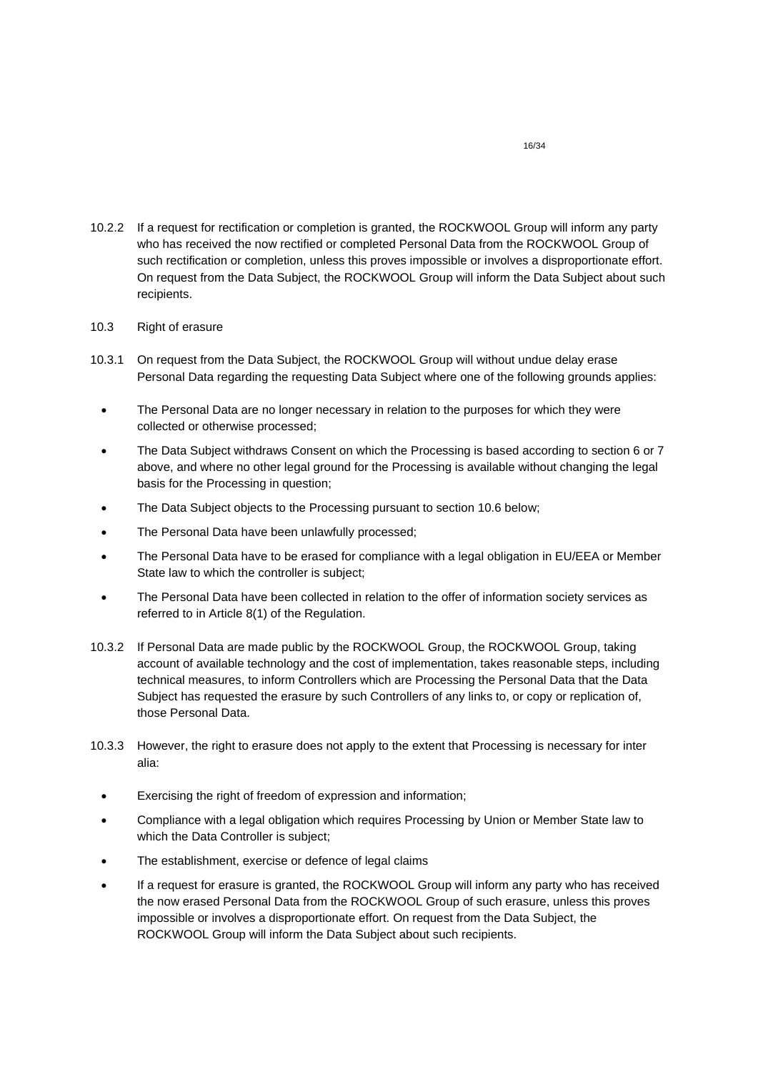10.2.2 If a request for rectification or completion is granted, the ROCKWOOL Group will inform any party who has received the now rectified or completed Personal Data from the ROCKWOOL Group of such rectification or completion, unless this proves impossible or involves a disproportionate effort. On request from the Data Subject, the ROCKWOOL Group will inform the Data Subject about such recipients.

# 10.3 Right of erasure

- 10.3.1 On request from the Data Subject, the ROCKWOOL Group will without undue delay erase Personal Data regarding the requesting Data Subject where one of the following grounds applies:
	- The Personal Data are no longer necessary in relation to the purposes for which they were collected or otherwise processed;
	- The Data Subject withdraws Consent on which the Processing is based according to section 6 or 7 above, and where no other legal ground for the Processing is available without changing the legal basis for the Processing in question;
	- The Data Subject objects to the Processing pursuant to section 10.6 below;
	- The Personal Data have been unlawfully processed;
	- The Personal Data have to be erased for compliance with a legal obligation in EU/EEA or Member State law to which the controller is subject;
	- The Personal Data have been collected in relation to the offer of information society services as referred to in Article 8(1) of the Regulation.
- 10.3.2 If Personal Data are made public by the ROCKWOOL Group, the ROCKWOOL Group, taking account of available technology and the cost of implementation, takes reasonable steps, including technical measures, to inform Controllers which are Processing the Personal Data that the Data Subject has requested the erasure by such Controllers of any links to, or copy or replication of, those Personal Data.
- 10.3.3 However, the right to erasure does not apply to the extent that Processing is necessary for inter alia:
	- Exercising the right of freedom of expression and information;
	- Compliance with a legal obligation which requires Processing by Union or Member State law to which the Data Controller is subject;
	- The establishment, exercise or defence of legal claims
	- If a request for erasure is granted, the ROCKWOOL Group will inform any party who has received the now erased Personal Data from the ROCKWOOL Group of such erasure, unless this proves impossible or involves a disproportionate effort. On request from the Data Subject, the ROCKWOOL Group will inform the Data Subject about such recipients.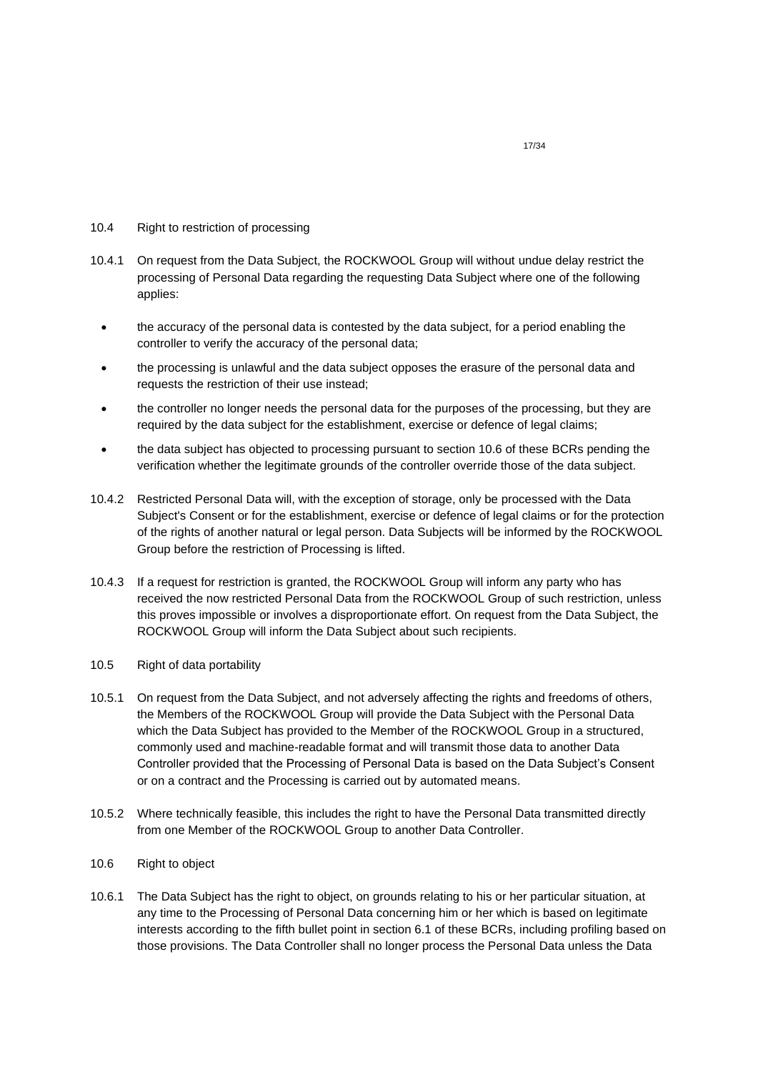- 10.4 Right to restriction of processing
- 10.4.1 On request from the Data Subject, the ROCKWOOL Group will without undue delay restrict the processing of Personal Data regarding the requesting Data Subject where one of the following applies:
	- the accuracy of the personal data is contested by the data subject, for a period enabling the controller to verify the accuracy of the personal data;
	- the processing is unlawful and the data subject opposes the erasure of the personal data and requests the restriction of their use instead;
	- the controller no longer needs the personal data for the purposes of the processing, but they are required by the data subject for the establishment, exercise or defence of legal claims;
	- the data subject has objected to processing pursuant to section 10.6 of these BCRs pending the verification whether the legitimate grounds of the controller override those of the data subject.
- 10.4.2 Restricted Personal Data will, with the exception of storage, only be processed with the Data Subject's Consent or for the establishment, exercise or defence of legal claims or for the protection of the rights of another natural or legal person. Data Subjects will be informed by the ROCKWOOL Group before the restriction of Processing is lifted.
- 10.4.3 If a request for restriction is granted, the ROCKWOOL Group will inform any party who has received the now restricted Personal Data from the ROCKWOOL Group of such restriction, unless this proves impossible or involves a disproportionate effort. On request from the Data Subject, the ROCKWOOL Group will inform the Data Subject about such recipients.
- 10.5 Right of data portability
- 10.5.1 On request from the Data Subject, and not adversely affecting the rights and freedoms of others, the Members of the ROCKWOOL Group will provide the Data Subject with the Personal Data which the Data Subject has provided to the Member of the ROCKWOOL Group in a structured, commonly used and machine-readable format and will transmit those data to another Data Controller provided that the Processing of Personal Data is based on the Data Subject's Consent or on a contract and the Processing is carried out by automated means.
- 10.5.2 Where technically feasible, this includes the right to have the Personal Data transmitted directly from one Member of the ROCKWOOL Group to another Data Controller.
- 10.6 Right to object
- 10.6.1 The Data Subject has the right to object, on grounds relating to his or her particular situation, at any time to the Processing of Personal Data concerning him or her which is based on legitimate interests according to the fifth bullet point in section 6.1 of these BCRs, including profiling based on those provisions. The Data Controller shall no longer process the Personal Data unless the Data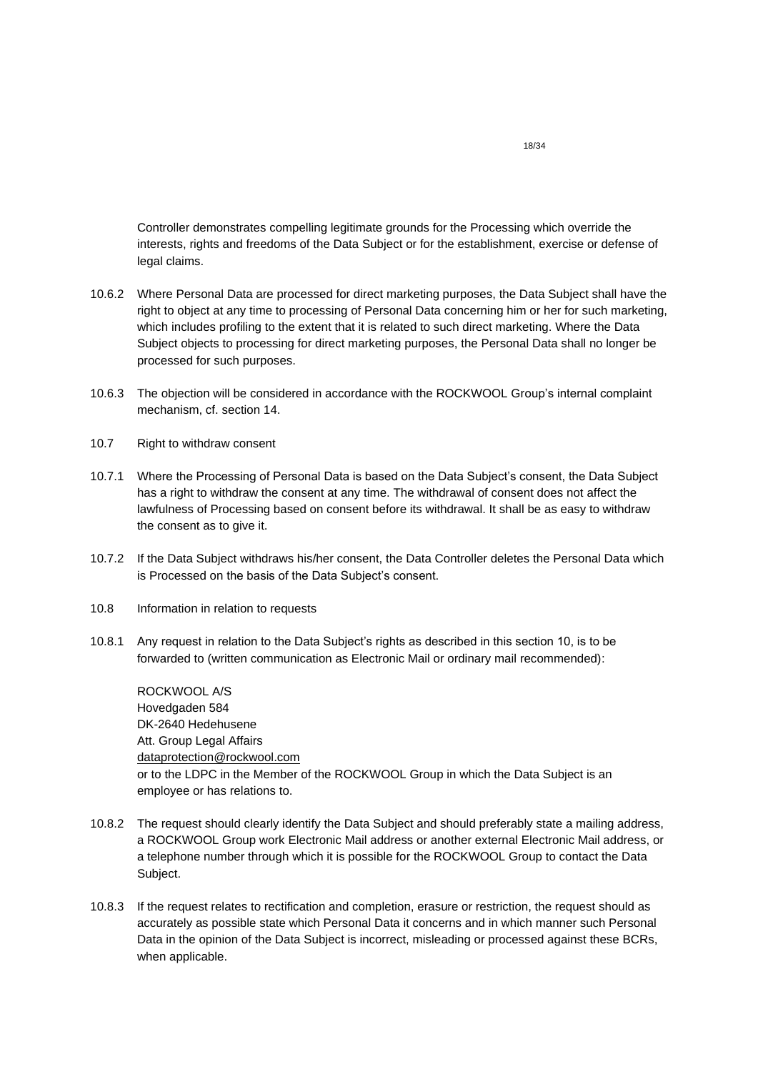Controller demonstrates compelling legitimate grounds for the Processing which override the interests, rights and freedoms of the Data Subject or for the establishment, exercise or defense of legal claims.

- 10.6.2 Where Personal Data are processed for direct marketing purposes, the Data Subject shall have the right to object at any time to processing of Personal Data concerning him or her for such marketing, which includes profiling to the extent that it is related to such direct marketing. Where the Data Subject objects to processing for direct marketing purposes, the Personal Data shall no longer be processed for such purposes.
- 10.6.3 The objection will be considered in accordance with the ROCKWOOL Group's internal complaint mechanism, cf. section 14.
- 10.7 Right to withdraw consent
- 10.7.1 Where the Processing of Personal Data is based on the Data Subject's consent, the Data Subject has a right to withdraw the consent at any time. The withdrawal of consent does not affect the lawfulness of Processing based on consent before its withdrawal. It shall be as easy to withdraw the consent as to give it.
- 10.7.2 If the Data Subject withdraws his/her consent, the Data Controller deletes the Personal Data which is Processed on the basis of the Data Subject's consent.
- 10.8 Information in relation to requests
- 10.8.1 Any request in relation to the Data Subject's rights as described in this section 10, is to be forwarded to (written communication as Electronic Mail or ordinary mail recommended):

ROCKWOOL A/S Hovedgaden 584 DK-2640 Hedehusene Att. Group Legal Affairs [dataprotection@rockwool.com](mailto:dataprotection@rockwool.com) or to the LDPC in the Member of the ROCKWOOL Group in which the Data Subject is an employee or has relations to.

- 10.8.2 The request should clearly identify the Data Subject and should preferably state a mailing address, a ROCKWOOL Group work Electronic Mail address or another external Electronic Mail address, or a telephone number through which it is possible for the ROCKWOOL Group to contact the Data Subject.
- 10.8.3 If the request relates to rectification and completion, erasure or restriction, the request should as accurately as possible state which Personal Data it concerns and in which manner such Personal Data in the opinion of the Data Subject is incorrect, misleading or processed against these BCRs, when applicable.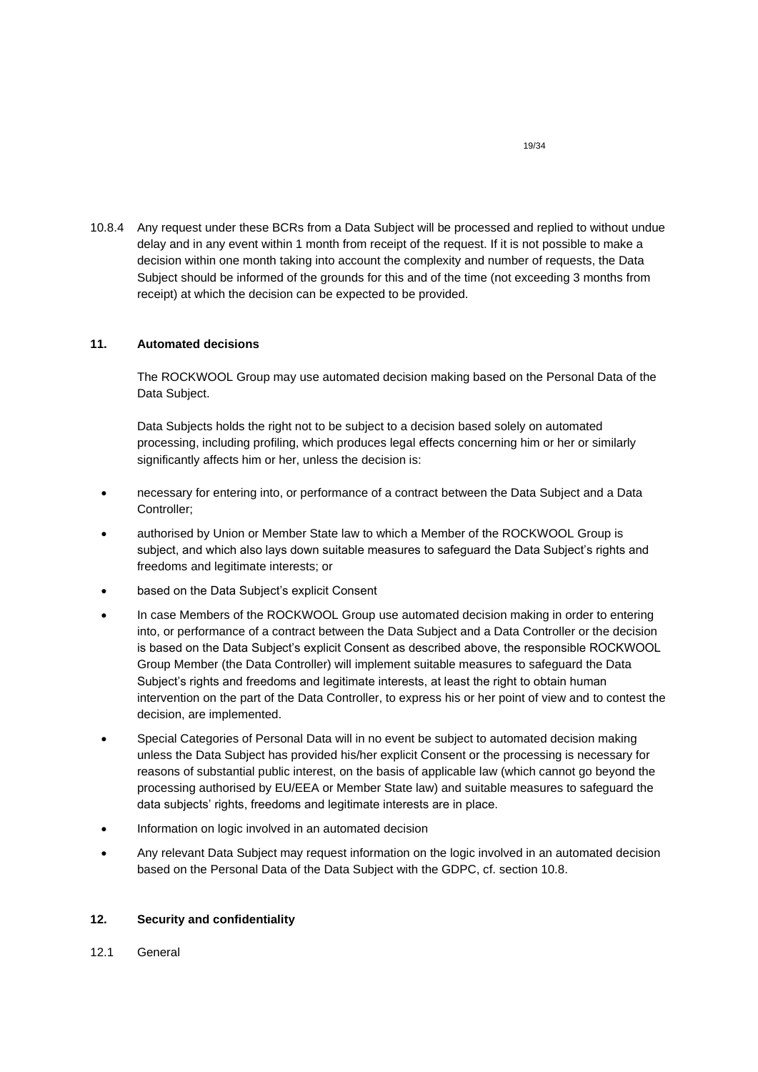10.8.4 Any request under these BCRs from a Data Subject will be processed and replied to without undue delay and in any event within 1 month from receipt of the request. If it is not possible to make a decision within one month taking into account the complexity and number of requests, the Data Subject should be informed of the grounds for this and of the time (not exceeding 3 months from receipt) at which the decision can be expected to be provided.

# <span id="page-18-0"></span>**11. Automated decisions**

The ROCKWOOL Group may use automated decision making based on the Personal Data of the Data Subject.

Data Subjects holds the right not to be subject to a decision based solely on automated processing, including profiling, which produces legal effects concerning him or her or similarly significantly affects him or her, unless the decision is:

- necessary for entering into, or performance of a contract between the Data Subject and a Data Controller;
- authorised by Union or Member State law to which a Member of the ROCKWOOL Group is subject, and which also lays down suitable measures to safeguard the Data Subject's rights and freedoms and legitimate interests; or
- based on the Data Subject's explicit Consent
- In case Members of the ROCKWOOL Group use automated decision making in order to entering into, or performance of a contract between the Data Subject and a Data Controller or the decision is based on the Data Subject's explicit Consent as described above, the responsible ROCKWOOL Group Member (the Data Controller) will implement suitable measures to safeguard the Data Subject's rights and freedoms and legitimate interests, at least the right to obtain human intervention on the part of the Data Controller, to express his or her point of view and to contest the decision, are implemented.
- Special Categories of Personal Data will in no event be subject to automated decision making unless the Data Subject has provided his/her explicit Consent or the processing is necessary for reasons of substantial public interest, on the basis of applicable law (which cannot go beyond the processing authorised by EU/EEA or Member State law) and suitable measures to safeguard the data subjects' rights, freedoms and legitimate interests are in place.
- Information on logic involved in an automated decision
- Any relevant Data Subject may request information on the logic involved in an automated decision based on the Personal Data of the Data Subject with the GDPC, cf. section 10.8.

# <span id="page-18-1"></span>**12. Security and confidentiality**

12.1 General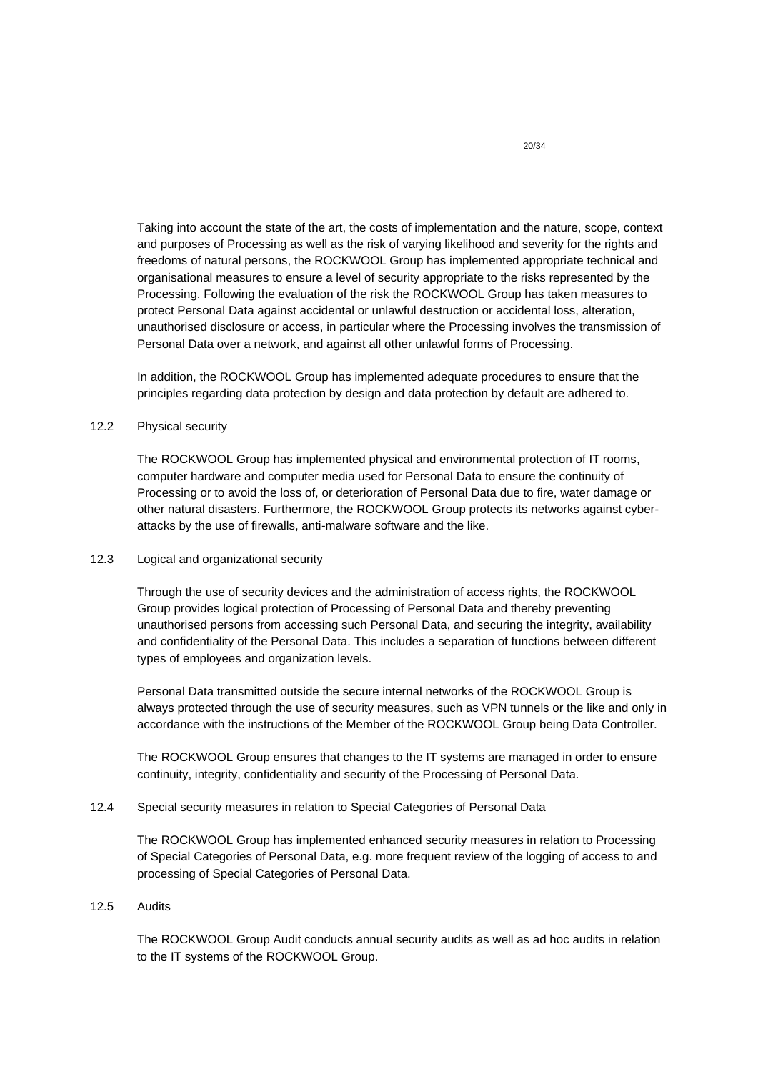Taking into account the state of the art, the costs of implementation and the nature, scope, context and purposes of Processing as well as the risk of varying likelihood and severity for the rights and freedoms of natural persons, the ROCKWOOL Group has implemented appropriate technical and organisational measures to ensure a level of security appropriate to the risks represented by the Processing. Following the evaluation of the risk the ROCKWOOL Group has taken measures to protect Personal Data against accidental or unlawful destruction or accidental loss, alteration, unauthorised disclosure or access, in particular where the Processing involves the transmission of Personal Data over a network, and against all other unlawful forms of Processing.

In addition, the ROCKWOOL Group has implemented adequate procedures to ensure that the principles regarding data protection by design and data protection by default are adhered to.

# 12.2 Physical security

The ROCKWOOL Group has implemented physical and environmental protection of IT rooms, computer hardware and computer media used for Personal Data to ensure the continuity of Processing or to avoid the loss of, or deterioration of Personal Data due to fire, water damage or other natural disasters. Furthermore, the ROCKWOOL Group protects its networks against cyberattacks by the use of firewalls, anti-malware software and the like.

## 12.3 Logical and organizational security

Through the use of security devices and the administration of access rights, the ROCKWOOL Group provides logical protection of Processing of Personal Data and thereby preventing unauthorised persons from accessing such Personal Data, and securing the integrity, availability and confidentiality of the Personal Data. This includes a separation of functions between different types of employees and organization levels.

Personal Data transmitted outside the secure internal networks of the ROCKWOOL Group is always protected through the use of security measures, such as VPN tunnels or the like and only in accordance with the instructions of the Member of the ROCKWOOL Group being Data Controller.

The ROCKWOOL Group ensures that changes to the IT systems are managed in order to ensure continuity, integrity, confidentiality and security of the Processing of Personal Data.

## 12.4 Special security measures in relation to Special Categories of Personal Data

The ROCKWOOL Group has implemented enhanced security measures in relation to Processing of Special Categories of Personal Data, e.g. more frequent review of the logging of access to and processing of Special Categories of Personal Data.

## 12.5 Audits

The ROCKWOOL Group Audit conducts annual security audits as well as ad hoc audits in relation to the IT systems of the ROCKWOOL Group.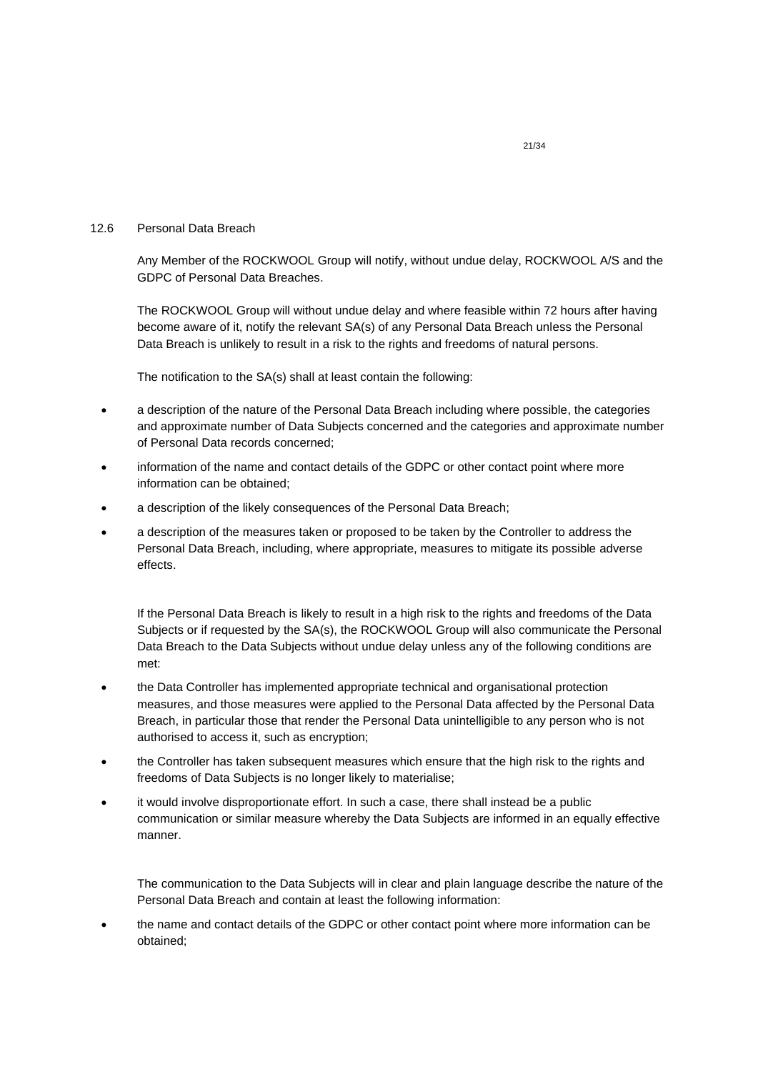## 12.6 Personal Data Breach

Any Member of the ROCKWOOL Group will notify, without undue delay, ROCKWOOL A/S and the GDPC of Personal Data Breaches.

The ROCKWOOL Group will without undue delay and where feasible within 72 hours after having become aware of it, notify the relevant SA(s) of any Personal Data Breach unless the Personal Data Breach is unlikely to result in a risk to the rights and freedoms of natural persons.

The notification to the SA(s) shall at least contain the following:

- a description of the nature of the Personal Data Breach including where possible, the categories and approximate number of Data Subjects concerned and the categories and approximate number of Personal Data records concerned;
- information of the name and contact details of the GDPC or other contact point where more information can be obtained;
- a description of the likely consequences of the Personal Data Breach;
- a description of the measures taken or proposed to be taken by the Controller to address the Personal Data Breach, including, where appropriate, measures to mitigate its possible adverse effects.

If the Personal Data Breach is likely to result in a high risk to the rights and freedoms of the Data Subjects or if requested by the SA(s), the ROCKWOOL Group will also communicate the Personal Data Breach to the Data Subjects without undue delay unless any of the following conditions are met:

- the Data Controller has implemented appropriate technical and organisational protection measures, and those measures were applied to the Personal Data affected by the Personal Data Breach, in particular those that render the Personal Data unintelligible to any person who is not authorised to access it, such as encryption;
- the Controller has taken subsequent measures which ensure that the high risk to the rights and freedoms of Data Subjects is no longer likely to materialise;
- it would involve disproportionate effort. In such a case, there shall instead be a public communication or similar measure whereby the Data Subjects are informed in an equally effective manner.

The communication to the Data Subjects will in clear and plain language describe the nature of the Personal Data Breach and contain at least the following information:

• the name and contact details of the GDPC or other contact point where more information can be obtained;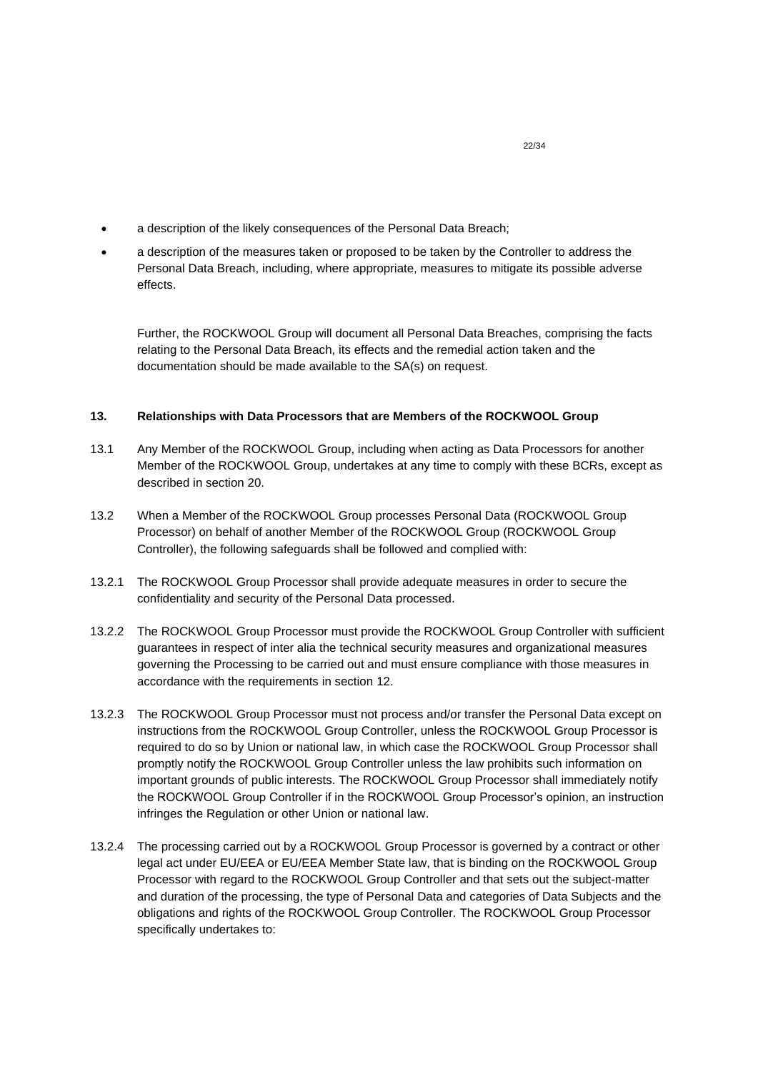- a description of the likely consequences of the Personal Data Breach;
- a description of the measures taken or proposed to be taken by the Controller to address the Personal Data Breach, including, where appropriate, measures to mitigate its possible adverse effects.

Further, the ROCKWOOL Group will document all Personal Data Breaches, comprising the facts relating to the Personal Data Breach, its effects and the remedial action taken and the documentation should be made available to the SA(s) on request.

# <span id="page-21-0"></span>**13. Relationships with Data Processors that are Members of the ROCKWOOL Group**

- 13.1 Any Member of the ROCKWOOL Group, including when acting as Data Processors for another Member of the ROCKWOOL Group, undertakes at any time to comply with these BCRs, except as described in section 20.
- 13.2 When a Member of the ROCKWOOL Group processes Personal Data (ROCKWOOL Group Processor) on behalf of another Member of the ROCKWOOL Group (ROCKWOOL Group Controller), the following safeguards shall be followed and complied with:
- 13.2.1 The ROCKWOOL Group Processor shall provide adequate measures in order to secure the confidentiality and security of the Personal Data processed.
- 13.2.2 The ROCKWOOL Group Processor must provide the ROCKWOOL Group Controller with sufficient guarantees in respect of inter alia the technical security measures and organizational measures governing the Processing to be carried out and must ensure compliance with those measures in accordance with the requirements in section 12.
- <span id="page-21-1"></span>13.2.3 The ROCKWOOL Group Processor must not process and/or transfer the Personal Data except on instructions from the ROCKWOOL Group Controller, unless the ROCKWOOL Group Processor is required to do so by Union or national law, in which case the ROCKWOOL Group Processor shall promptly notify the ROCKWOOL Group Controller unless the law prohibits such information on important grounds of public interests. The ROCKWOOL Group Processor shall immediately notify the ROCKWOOL Group Controller if in the ROCKWOOL Group Processor's opinion, an instruction infringes the Regulation or other Union or national law.
- 13.2.4 The processing carried out by a ROCKWOOL Group Processor is governed by a contract or other legal act under EU/EEA or EU/EEA Member State law, that is binding on the ROCKWOOL Group Processor with regard to the ROCKWOOL Group Controller and that sets out the subject-matter and duration of the processing, the type of Personal Data and categories of Data Subjects and the obligations and rights of the ROCKWOOL Group Controller. The ROCKWOOL Group Processor specifically undertakes to: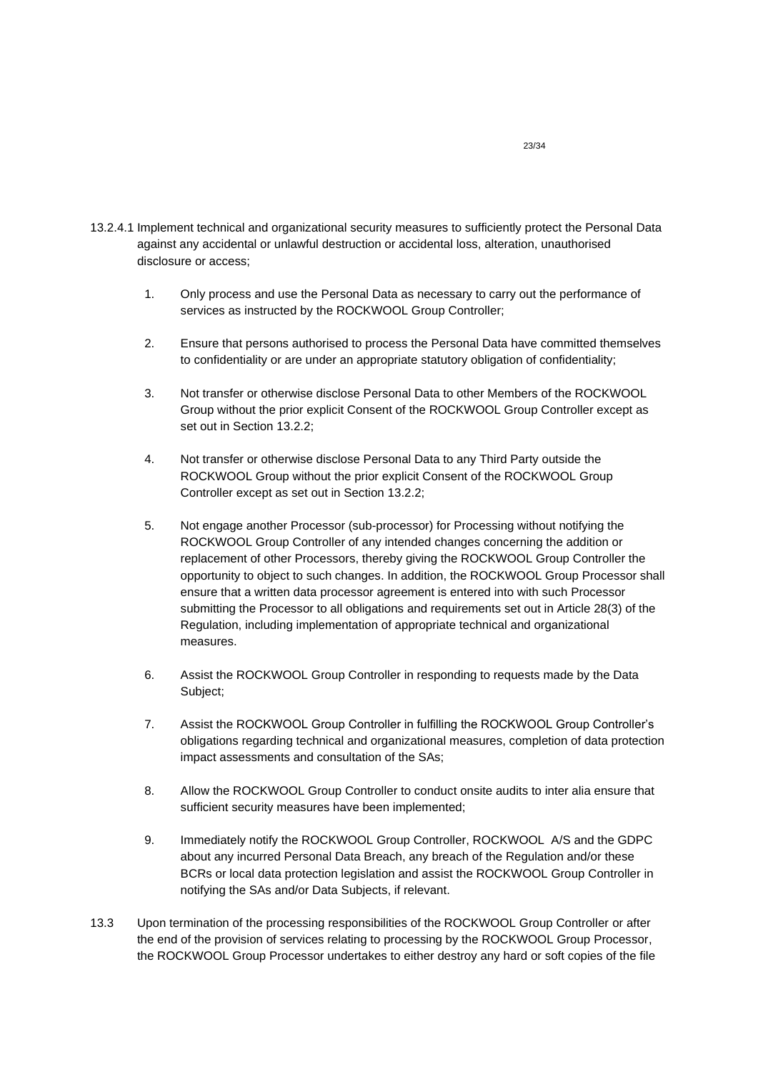- 13.2.4.1 Implement technical and organizational security measures to sufficiently protect the Personal Data against any accidental or unlawful destruction or accidental loss, alteration, unauthorised disclosure or access;
	- 1. Only process and use the Personal Data as necessary to carry out the performance of services as instructed by the ROCKWOOL Group Controller;
	- 2. Ensure that persons authorised to process the Personal Data have committed themselves to confidentiality or are under an appropriate statutory obligation of confidentiality;
	- 3. Not transfer or otherwise disclose Personal Data to other Members of the ROCKWOOL Group without the prior explicit Consent of the ROCKWOOL Group Controller except as set out in Section [13.2.2;](#page-21-1)
	- 4. Not transfer or otherwise disclose Personal Data to any Third Party outside the ROCKWOOL Group without the prior explicit Consent of the ROCKWOOL Group Controller except as set out in Section [13.2.2;](#page-21-1)
	- 5. Not engage another Processor (sub-processor) for Processing without notifying the ROCKWOOL Group Controller of any intended changes concerning the addition or replacement of other Processors, thereby giving the ROCKWOOL Group Controller the opportunity to object to such changes. In addition, the ROCKWOOL Group Processor shall ensure that a written data processor agreement is entered into with such Processor submitting the Processor to all obligations and requirements set out in Article 28(3) of the Regulation, including implementation of appropriate technical and organizational measures.
	- 6. Assist the ROCKWOOL Group Controller in responding to requests made by the Data Subject;
	- 7. Assist the ROCKWOOL Group Controller in fulfilling the ROCKWOOL Group Controller's obligations regarding technical and organizational measures, completion of data protection impact assessments and consultation of the SAs;
	- 8. Allow the ROCKWOOL Group Controller to conduct onsite audits to inter alia ensure that sufficient security measures have been implemented;
	- 9. Immediately notify the ROCKWOOL Group Controller, ROCKWOOL A/S and the GDPC about any incurred Personal Data Breach, any breach of the Regulation and/or these BCRs or local data protection legislation and assist the ROCKWOOL Group Controller in notifying the SAs and/or Data Subjects, if relevant.
- 13.3 Upon termination of the processing responsibilities of the ROCKWOOL Group Controller or after the end of the provision of services relating to processing by the ROCKWOOL Group Processor, the ROCKWOOL Group Processor undertakes to either destroy any hard or soft copies of the file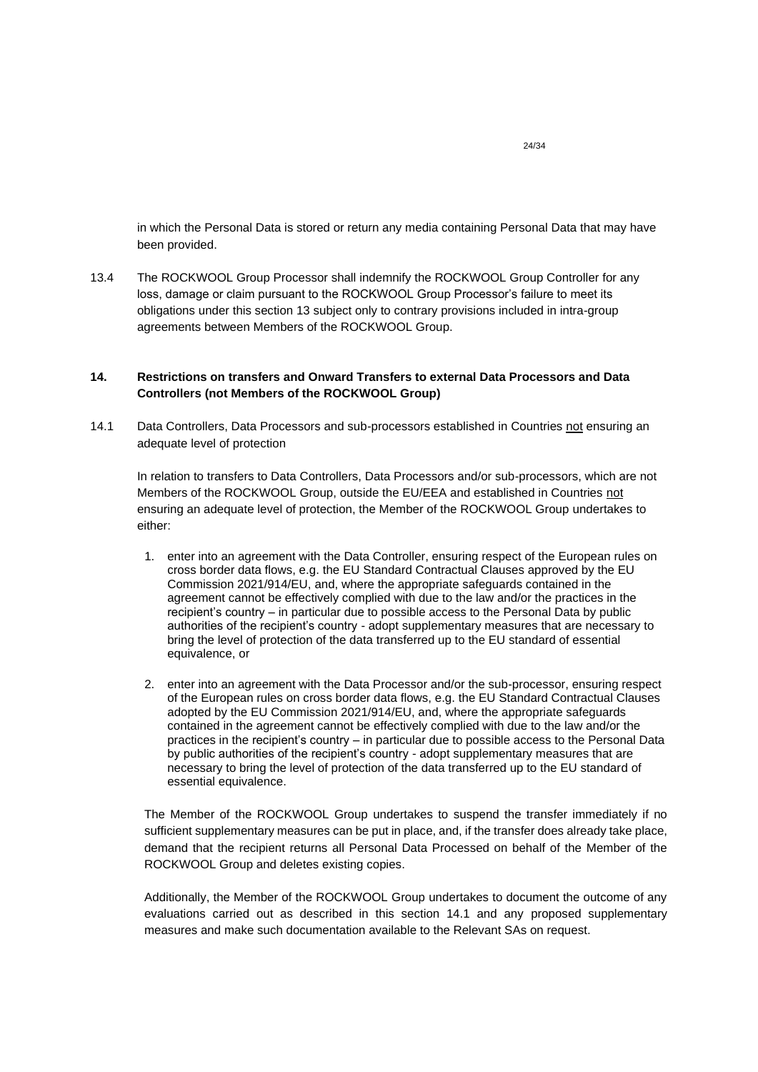in which the Personal Data is stored or return any media containing Personal Data that may have been provided.

13.4 The ROCKWOOL Group Processor shall indemnify the ROCKWOOL Group Controller for any loss, damage or claim pursuant to the ROCKWOOL Group Processor's failure to meet its obligations under this section [13](#page-21-0) subject only to contrary provisions included in intra-group agreements between Members of the ROCKWOOL Group.

# <span id="page-23-0"></span>**14. Restrictions on transfers and Onward Transfers to external Data Processors and Data Controllers (not Members of the ROCKWOOL Group)**

<span id="page-23-1"></span>14.1 Data Controllers, Data Processors and sub-processors established in Countries not ensuring an adequate level of protection

In relation to transfers to Data Controllers, Data Processors and/or sub-processors, which are not Members of the ROCKWOOL Group, outside the EU/EEA and established in Countries not ensuring an adequate level of protection, the Member of the ROCKWOOL Group undertakes to either:

- 1. enter into an agreement with the Data Controller, ensuring respect of the European rules on cross border data flows, e.g. the EU Standard Contractual Clauses approved by the EU Commission 2021/914/EU, and, where the appropriate safeguards contained in the agreement cannot be effectively complied with due to the law and/or the practices in the recipient's country – in particular due to possible access to the Personal Data by public authorities of the recipient's country - adopt supplementary measures that are necessary to bring the level of protection of the data transferred up to the EU standard of essential equivalence, or
- 2. enter into an agreement with the Data Processor and/or the sub-processor, ensuring respect of the European rules on cross border data flows, e.g. the EU Standard Contractual Clauses adopted by the EU Commission 2021/914/EU, and, where the appropriate safeguards contained in the agreement cannot be effectively complied with due to the law and/or the practices in the recipient's country – in particular due to possible access to the Personal Data by public authorities of the recipient's country - adopt supplementary measures that are necessary to bring the level of protection of the data transferred up to the EU standard of essential equivalence.

The Member of the ROCKWOOL Group undertakes to suspend the transfer immediately if no sufficient supplementary measures can be put in place, and, if the transfer does already take place, demand that the recipient returns all Personal Data Processed on behalf of the Member of the ROCKWOOL Group and deletes existing copies.

Additionally, the Member of the ROCKWOOL Group undertakes to document the outcome of any evaluations carried out as described in this section 14.1 and any proposed supplementary measures and make such documentation available to the Relevant SAs on request.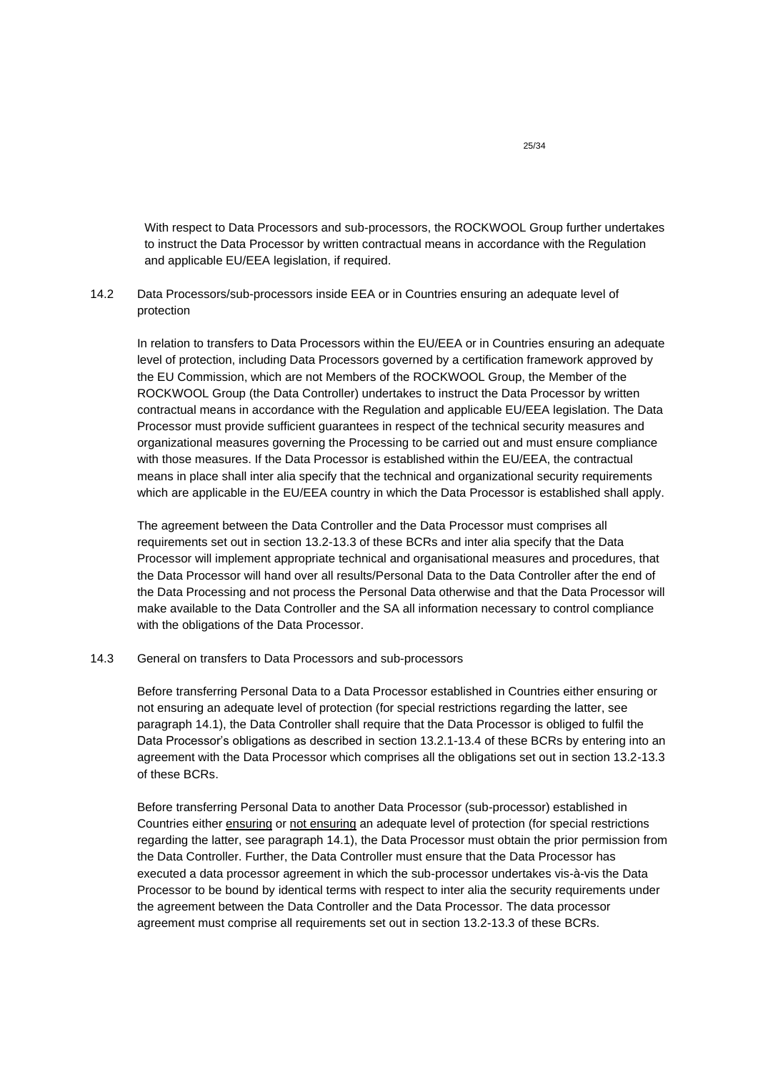With respect to Data Processors and sub-processors, the ROCKWOOL Group further undertakes to instruct the Data Processor by written contractual means in accordance with the Regulation and applicable EU/EEA legislation, if required.

# 14.2 Data Processors/sub-processors inside EEA or in Countries ensuring an adequate level of protection

In relation to transfers to Data Processors within the EU/EEA or in Countries ensuring an adequate level of protection, including Data Processors governed by a certification framework approved by the EU Commission, which are not Members of the ROCKWOOL Group, the Member of the ROCKWOOL Group (the Data Controller) undertakes to instruct the Data Processor by written contractual means in accordance with the Regulation and applicable EU/EEA legislation. The Data Processor must provide sufficient guarantees in respect of the technical security measures and organizational measures governing the Processing to be carried out and must ensure compliance with those measures. If the Data Processor is established within the EU/EEA, the contractual means in place shall inter alia specify that the technical and organizational security requirements which are applicable in the EU/EEA country in which the Data Processor is established shall apply.

The agreement between the Data Controller and the Data Processor must comprises all requirements set out in section 13.2-13.3 of these BCRs and inter alia specify that the Data Processor will implement appropriate technical and organisational measures and procedures, that the Data Processor will hand over all results/Personal Data to the Data Controller after the end of the Data Processing and not process the Personal Data otherwise and that the Data Processor will make available to the Data Controller and the SA all information necessary to control compliance with the obligations of the Data Processor.

## 14.3 General on transfers to Data Processors and sub-processors

Before transferring Personal Data to a Data Processor established in Countries either ensuring or not ensuring an adequate level of protection (for special restrictions regarding the latter, see paragraph 14.1), the Data Controller shall require that the Data Processor is obliged to fulfil the Data Processor's obligations as described in section 13.2.1-13.4 of these BCRs by entering into an agreement with the Data Processor which comprises all the obligations set out in section 13.2-13.3 of these BCRs.

Before transferring Personal Data to another Data Processor (sub-processor) established in Countries either ensuring or not ensuring an adequate level of protection (for special restrictions regarding the latter, see paragraph [14.1\)](#page-23-1), the Data Processor must obtain the prior permission from the Data Controller. Further, the Data Controller must ensure that the Data Processor has executed a data processor agreement in which the sub-processor undertakes vis-à-vis the Data Processor to be bound by identical terms with respect to inter alia the security requirements under the agreement between the Data Controller and the Data Processor. The data processor agreement must comprise all requirements set out in section 13.2-13.3 of these BCRs.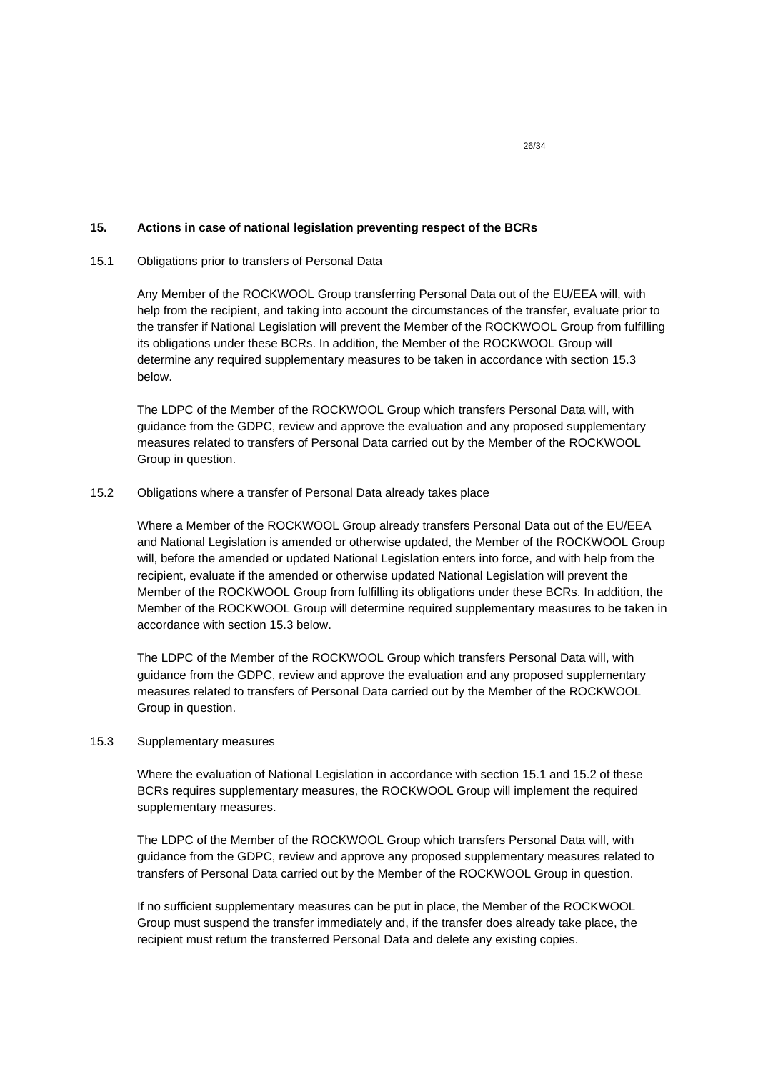## <span id="page-25-0"></span>**15. Actions in case of national legislation preventing respect of the BCRs**

## 15.1 Obligations prior to transfers of Personal Data

Any Member of the ROCKWOOL Group transferring Personal Data out of the EU/EEA will, with help from the recipient, and taking into account the circumstances of the transfer, evaluate prior to the transfer if National Legislation will prevent the Member of the ROCKWOOL Group from fulfilling its obligations under these BCRs. In addition, the Member of the ROCKWOOL Group will determine any required supplementary measures to be taken in accordance with section 15.3 below.

The LDPC of the Member of the ROCKWOOL Group which transfers Personal Data will, with guidance from the GDPC, review and approve the evaluation and any proposed supplementary measures related to transfers of Personal Data carried out by the Member of the ROCKWOOL Group in question.

## 15.2 Obligations where a transfer of Personal Data already takes place

Where a Member of the ROCKWOOL Group already transfers Personal Data out of the EU/EEA and National Legislation is amended or otherwise updated, the Member of the ROCKWOOL Group will, before the amended or updated National Legislation enters into force, and with help from the recipient, evaluate if the amended or otherwise updated National Legislation will prevent the Member of the ROCKWOOL Group from fulfilling its obligations under these BCRs. In addition, the Member of the ROCKWOOL Group will determine required supplementary measures to be taken in accordance with section 15.3 below.

The LDPC of the Member of the ROCKWOOL Group which transfers Personal Data will, with guidance from the GDPC, review and approve the evaluation and any proposed supplementary measures related to transfers of Personal Data carried out by the Member of the ROCKWOOL Group in question.

#### 15.3 Supplementary measures

Where the evaluation of National Legislation in accordance with section 15.1 and 15.2 of these BCRs requires supplementary measures, the ROCKWOOL Group will implement the required supplementary measures.

The LDPC of the Member of the ROCKWOOL Group which transfers Personal Data will, with guidance from the GDPC, review and approve any proposed supplementary measures related to transfers of Personal Data carried out by the Member of the ROCKWOOL Group in question.

If no sufficient supplementary measures can be put in place, the Member of the ROCKWOOL Group must suspend the transfer immediately and, if the transfer does already take place, the recipient must return the transferred Personal Data and delete any existing copies.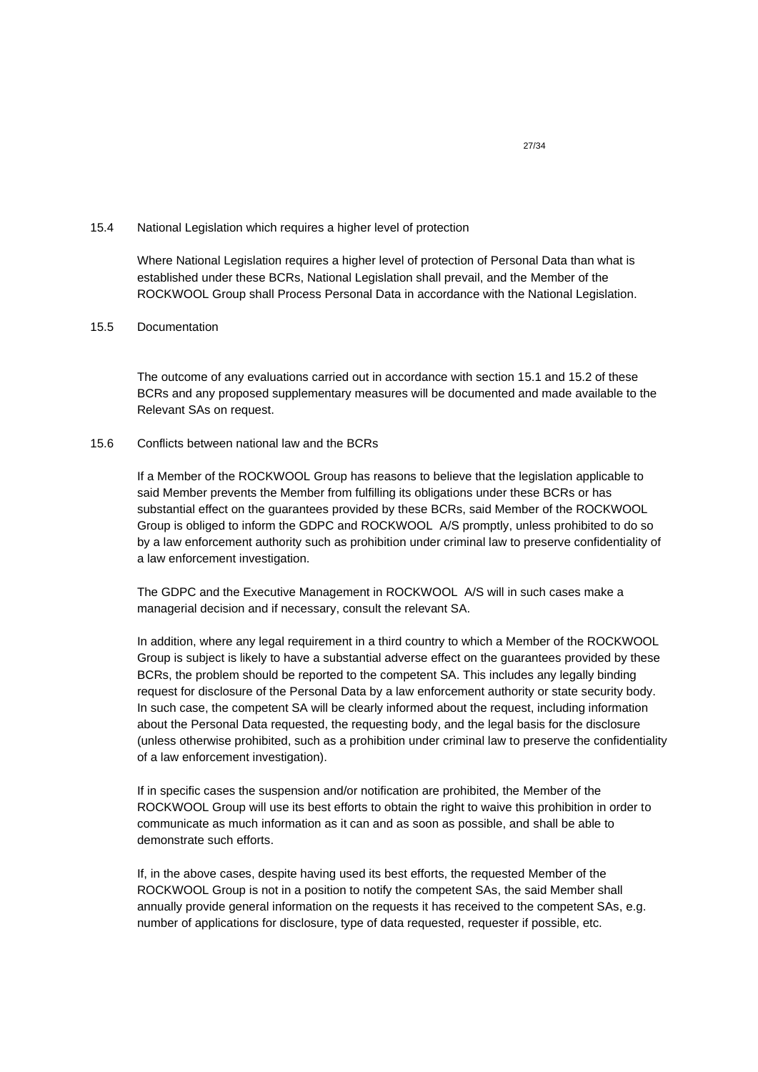#### 15.4 National Legislation which requires a higher level of protection

Where National Legislation requires a higher level of protection of Personal Data than what is established under these BCRs, National Legislation shall prevail, and the Member of the ROCKWOOL Group shall Process Personal Data in accordance with the National Legislation.

## 15.5 Documentation

The outcome of any evaluations carried out in accordance with section 15.1 and 15.2 of these BCRs and any proposed supplementary measures will be documented and made available to the Relevant SAs on request.

## 15.6 Conflicts between national law and the BCRs

If a Member of the ROCKWOOL Group has reasons to believe that the legislation applicable to said Member prevents the Member from fulfilling its obligations under these BCRs or has substantial effect on the guarantees provided by these BCRs, said Member of the ROCKWOOL Group is obliged to inform the GDPC and ROCKWOOL A/S promptly, unless prohibited to do so by a law enforcement authority such as prohibition under criminal law to preserve confidentiality of a law enforcement investigation.

The GDPC and the Executive Management in ROCKWOOL A/S will in such cases make a managerial decision and if necessary, consult the relevant SA.

In addition, where any legal requirement in a third country to which a Member of the ROCKWOOL Group is subject is likely to have a substantial adverse effect on the guarantees provided by these BCRs, the problem should be reported to the competent SA. This includes any legally binding request for disclosure of the Personal Data by a law enforcement authority or state security body. In such case, the competent SA will be clearly informed about the request, including information about the Personal Data requested, the requesting body, and the legal basis for the disclosure (unless otherwise prohibited, such as a prohibition under criminal law to preserve the confidentiality of a law enforcement investigation).

If in specific cases the suspension and/or notification are prohibited, the Member of the ROCKWOOL Group will use its best efforts to obtain the right to waive this prohibition in order to communicate as much information as it can and as soon as possible, and shall be able to demonstrate such efforts.

If, in the above cases, despite having used its best efforts, the requested Member of the ROCKWOOL Group is not in a position to notify the competent SAs, the said Member shall annually provide general information on the requests it has received to the competent SAs, e.g. number of applications for disclosure, type of data requested, requester if possible, etc.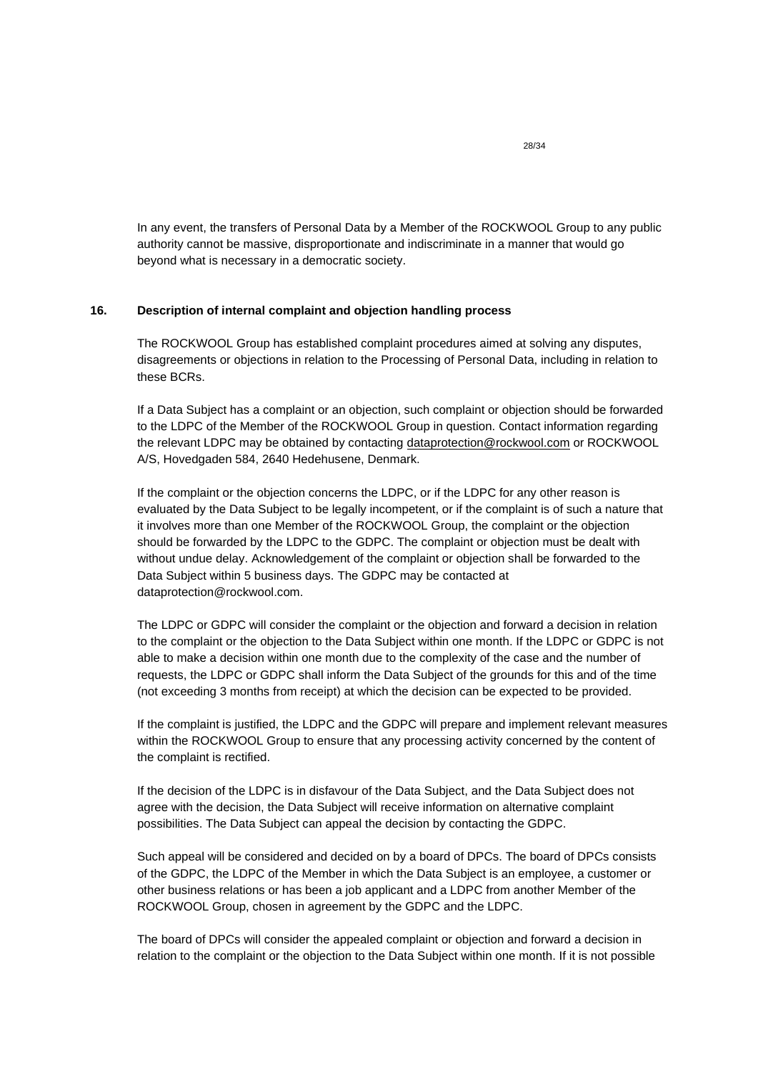In any event, the transfers of Personal Data by a Member of the ROCKWOOL Group to any public authority cannot be massive, disproportionate and indiscriminate in a manner that would go beyond what is necessary in a democratic society.

## <span id="page-27-0"></span>**16. Description of internal complaint and objection handling process**

The ROCKWOOL Group has established complaint procedures aimed at solving any disputes, disagreements or objections in relation to the Processing of Personal Data, including in relation to these BCRs.

If a Data Subject has a complaint or an objection, such complaint or objection should be forwarded to the LDPC of the Member of the ROCKWOOL Group in question. Contact information regarding the relevant LDPC may be obtained by contacting [dataprotection@rockwool.com](mailto:dataprotection@rockwool.com) or ROCKWOOL A/S, Hovedgaden 584, 2640 Hedehusene, Denmark.

If the complaint or the objection concerns the LDPC, or if the LDPC for any other reason is evaluated by the Data Subject to be legally incompetent, or if the complaint is of such a nature that it involves more than one Member of the ROCKWOOL Group, the complaint or the objection should be forwarded by the LDPC to the GDPC. The complaint or objection must be dealt with without undue delay. Acknowledgement of the complaint or objection shall be forwarded to the Data Subject within 5 business days. The GDPC may be contacted at dataprotection@rockwool.com.

The LDPC or GDPC will consider the complaint or the objection and forward a decision in relation to the complaint or the objection to the Data Subject within one month. If the LDPC or GDPC is not able to make a decision within one month due to the complexity of the case and the number of requests, the LDPC or GDPC shall inform the Data Subject of the grounds for this and of the time (not exceeding 3 months from receipt) at which the decision can be expected to be provided.

If the complaint is justified, the LDPC and the GDPC will prepare and implement relevant measures within the ROCKWOOL Group to ensure that any processing activity concerned by the content of the complaint is rectified.

If the decision of the LDPC is in disfavour of the Data Subject, and the Data Subject does not agree with the decision, the Data Subject will receive information on alternative complaint possibilities. The Data Subject can appeal the decision by contacting the GDPC.

Such appeal will be considered and decided on by a board of DPCs. The board of DPCs consists of the GDPC, the LDPC of the Member in which the Data Subject is an employee, a customer or other business relations or has been a job applicant and a LDPC from another Member of the ROCKWOOL Group, chosen in agreement by the GDPC and the LDPC.

The board of DPCs will consider the appealed complaint or objection and forward a decision in relation to the complaint or the objection to the Data Subject within one month. If it is not possible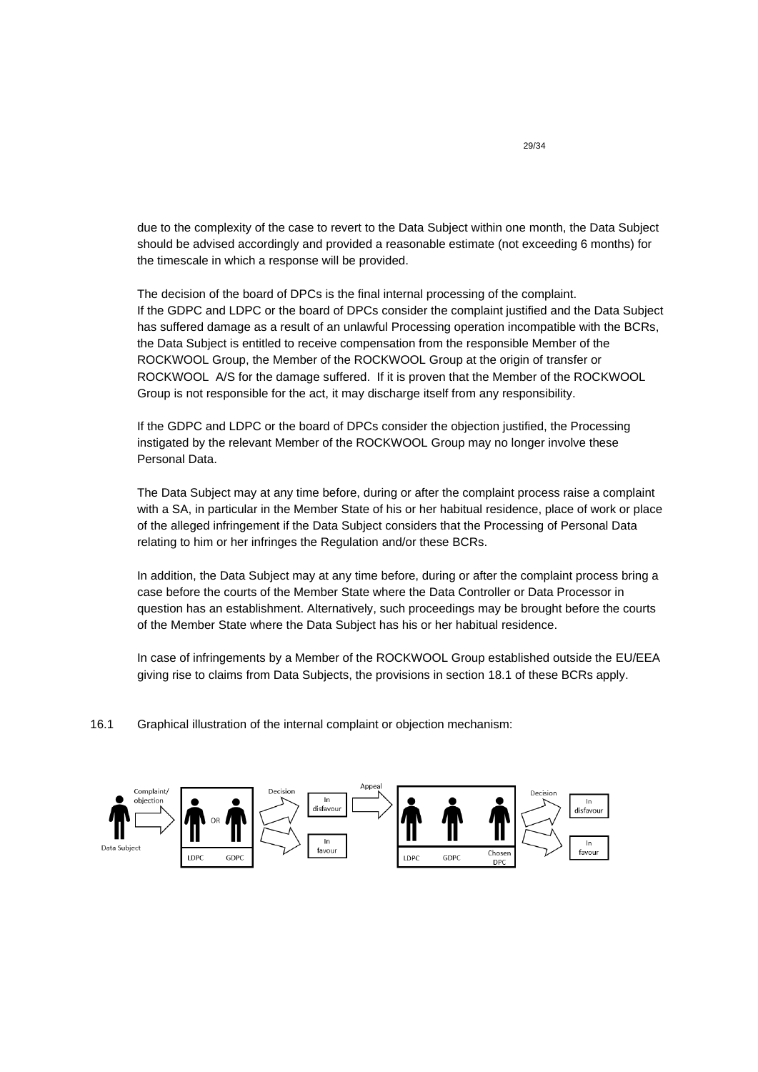due to the complexity of the case to revert to the Data Subject within one month, the Data Subject should be advised accordingly and provided a reasonable estimate (not exceeding 6 months) for the timescale in which a response will be provided.

The decision of the board of DPCs is the final internal processing of the complaint. If the GDPC and LDPC or the board of DPCs consider the complaint justified and the Data Subject has suffered damage as a result of an unlawful Processing operation incompatible with the BCRs, the Data Subject is entitled to receive compensation from the responsible Member of the ROCKWOOL Group, the Member of the ROCKWOOL Group at the origin of transfer or ROCKWOOL A/S for the damage suffered. If it is proven that the Member of the ROCKWOOL Group is not responsible for the act, it may discharge itself from any responsibility.

If the GDPC and LDPC or the board of DPCs consider the objection justified, the Processing instigated by the relevant Member of the ROCKWOOL Group may no longer involve these Personal Data.

The Data Subject may at any time before, during or after the complaint process raise a complaint with a SA, in particular in the Member State of his or her habitual residence, place of work or place of the alleged infringement if the Data Subject considers that the Processing of Personal Data relating to him or her infringes the Regulation and/or these BCRs.

In addition, the Data Subject may at any time before, during or after the complaint process bring a case before the courts of the Member State where the Data Controller or Data Processor in question has an establishment. Alternatively, such proceedings may be brought before the courts of the Member State where the Data Subject has his or her habitual residence.

In case of infringements by a Member of the ROCKWOOL Group established outside the EU/EEA giving rise to claims from Data Subjects, the provisions in section 18.1 of these BCRs apply.

16.1 Graphical illustration of the internal complaint or objection mechanism:

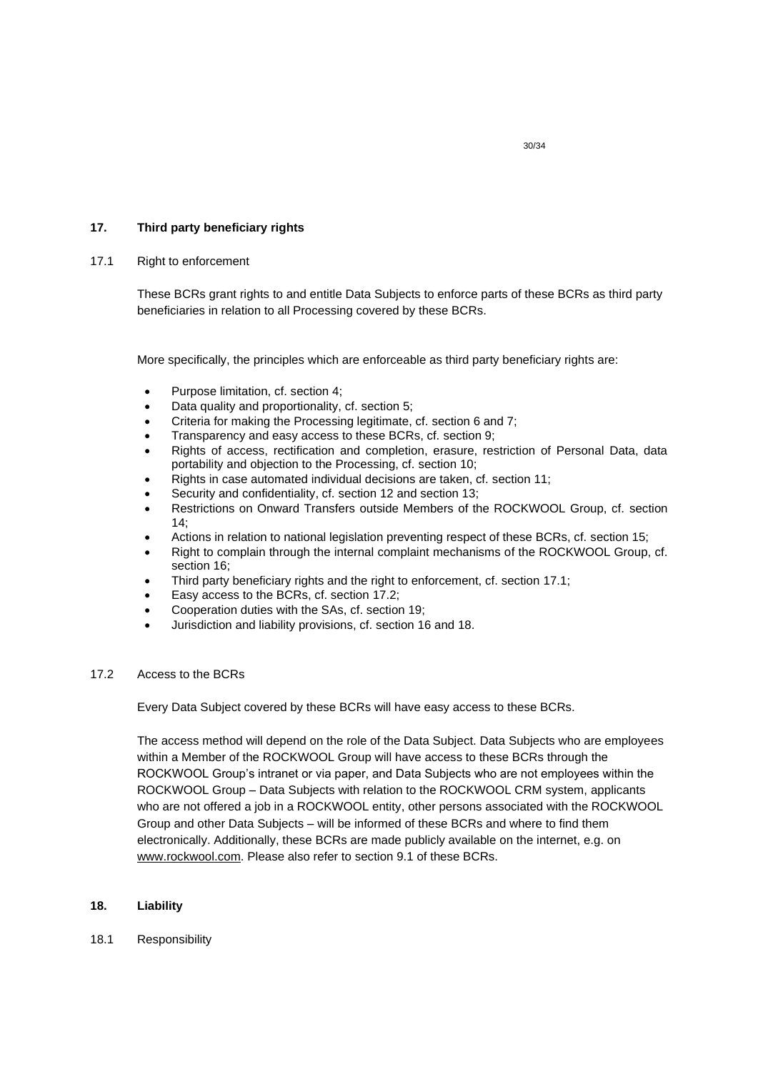## <span id="page-29-0"></span>**17. Third party beneficiary rights**

## 17.1 Right to enforcement

These BCRs grant rights to and entitle Data Subjects to enforce parts of these BCRs as third party beneficiaries in relation to all Processing covered by these BCRs.

More specifically, the principles which are enforceable as third party beneficiary rights are:

- Purpose limitation, cf. section 4;
- Data quality and proportionality, cf. section 5;
- Criteria for making the Processing legitimate, cf. section 6 and 7;
- Transparency and easy access to these BCRs, cf. section 9;
- Rights of access, rectification and completion, erasure, restriction of Personal Data, data portability and objection to the Processing, cf. section 10;
- Rights in case automated individual decisions are taken, cf. section 11;
- Security and confidentiality, cf. section 12 and section 13;
- Restrictions on Onward Transfers outside Members of the ROCKWOOL Group, cf. section  $14:$
- Actions in relation to national legislation preventing respect of these BCRs, cf. section 15;
- Right to complain through the internal complaint mechanisms of the ROCKWOOL Group, cf. section 16;
- Third party beneficiary rights and the right to enforcement, cf. section 17.1;
- Easy access to the BCRs, cf. section 17.2;
- Cooperation duties with the SAs, cf. section 19;
- Jurisdiction and liability provisions, cf. section 16 and 18.

## 17.2 Access to the BCRs

Every Data Subject covered by these BCRs will have easy access to these BCRs.

The access method will depend on the role of the Data Subject. Data Subjects who are employees within a Member of the ROCKWOOL Group will have access to these BCRs through the ROCKWOOL Group's intranet or via paper, and Data Subjects who are not employees within the ROCKWOOL Group – Data Subjects with relation to the ROCKWOOL CRM system, applicants who are not offered a job in a ROCKWOOL entity, other persons associated with the ROCKWOOL Group and other Data Subjects – will be informed of these BCRs and where to find them electronically. Additionally, these BCRs are made publicly available on the internet, e.g. on [www.rockwool.com.](http://www.rockwool.com/) Please also refer to section 9.1 of these BCRs.

## <span id="page-29-1"></span>**18. Liability**

18.1 Responsibility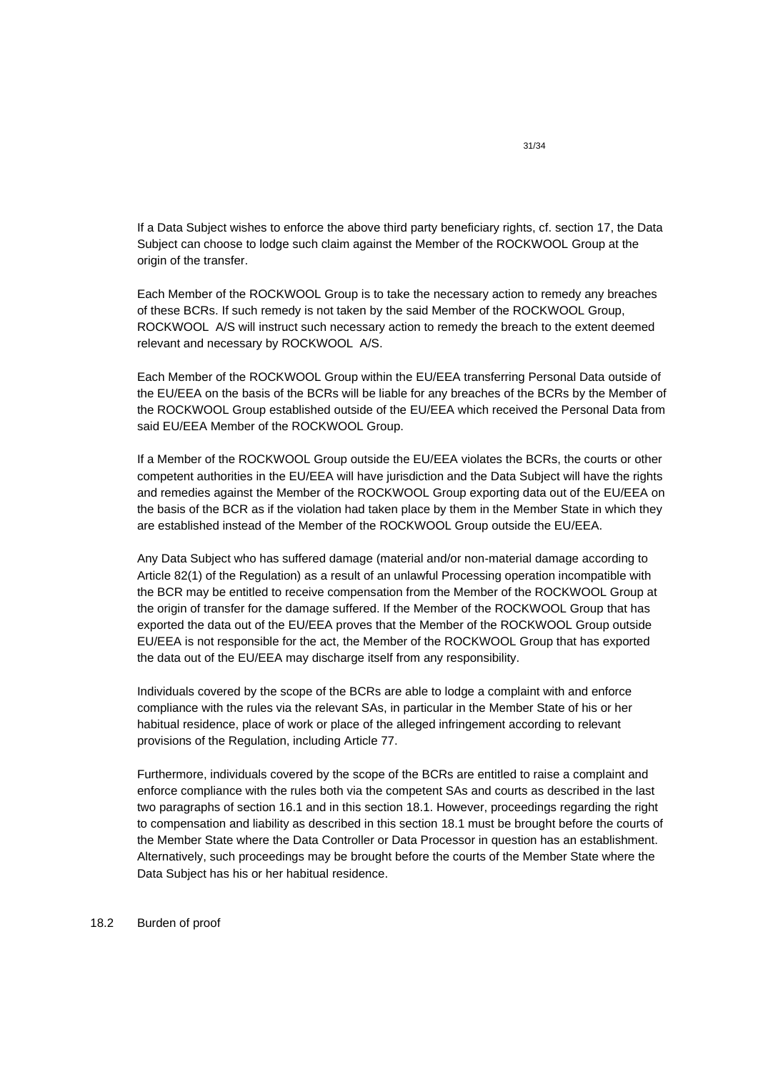If a Data Subject wishes to enforce the above third party beneficiary rights, cf. section 17, the Data Subject can choose to lodge such claim against the Member of the ROCKWOOL Group at the origin of the transfer.

Each Member of the ROCKWOOL Group is to take the necessary action to remedy any breaches of these BCRs. If such remedy is not taken by the said Member of the ROCKWOOL Group, ROCKWOOL A/S will instruct such necessary action to remedy the breach to the extent deemed relevant and necessary by ROCKWOOL A/S.

Each Member of the ROCKWOOL Group within the EU/EEA transferring Personal Data outside of the EU/EEA on the basis of the BCRs will be liable for any breaches of the BCRs by the Member of the ROCKWOOL Group established outside of the EU/EEA which received the Personal Data from said EU/EEA Member of the ROCKWOOL Group.

If a Member of the ROCKWOOL Group outside the EU/EEA violates the BCRs, the courts or other competent authorities in the EU/EEA will have jurisdiction and the Data Subject will have the rights and remedies against the Member of the ROCKWOOL Group exporting data out of the EU/EEA on the basis of the BCR as if the violation had taken place by them in the Member State in which they are established instead of the Member of the ROCKWOOL Group outside the EU/EEA.

Any Data Subject who has suffered damage (material and/or non-material damage according to Article 82(1) of the Regulation) as a result of an unlawful Processing operation incompatible with the BCR may be entitled to receive compensation from the Member of the ROCKWOOL Group at the origin of transfer for the damage suffered. If the Member of the ROCKWOOL Group that has exported the data out of the EU/EEA proves that the Member of the ROCKWOOL Group outside EU/EEA is not responsible for the act, the Member of the ROCKWOOL Group that has exported the data out of the EU/EEA may discharge itself from any responsibility.

Individuals covered by the scope of the BCRs are able to lodge a complaint with and enforce compliance with the rules via the relevant SAs, in particular in the Member State of his or her habitual residence, place of work or place of the alleged infringement according to relevant provisions of the Regulation, including Article 77.

Furthermore, individuals covered by the scope of the BCRs are entitled to raise a complaint and enforce compliance with the rules both via the competent SAs and courts as described in the last two paragraphs of section 16.1 and in this section 18.1. However, proceedings regarding the right to compensation and liability as described in this section 18.1 must be brought before the courts of the Member State where the Data Controller or Data Processor in question has an establishment. Alternatively, such proceedings may be brought before the courts of the Member State where the Data Subject has his or her habitual residence.

## 18.2 Burden of proof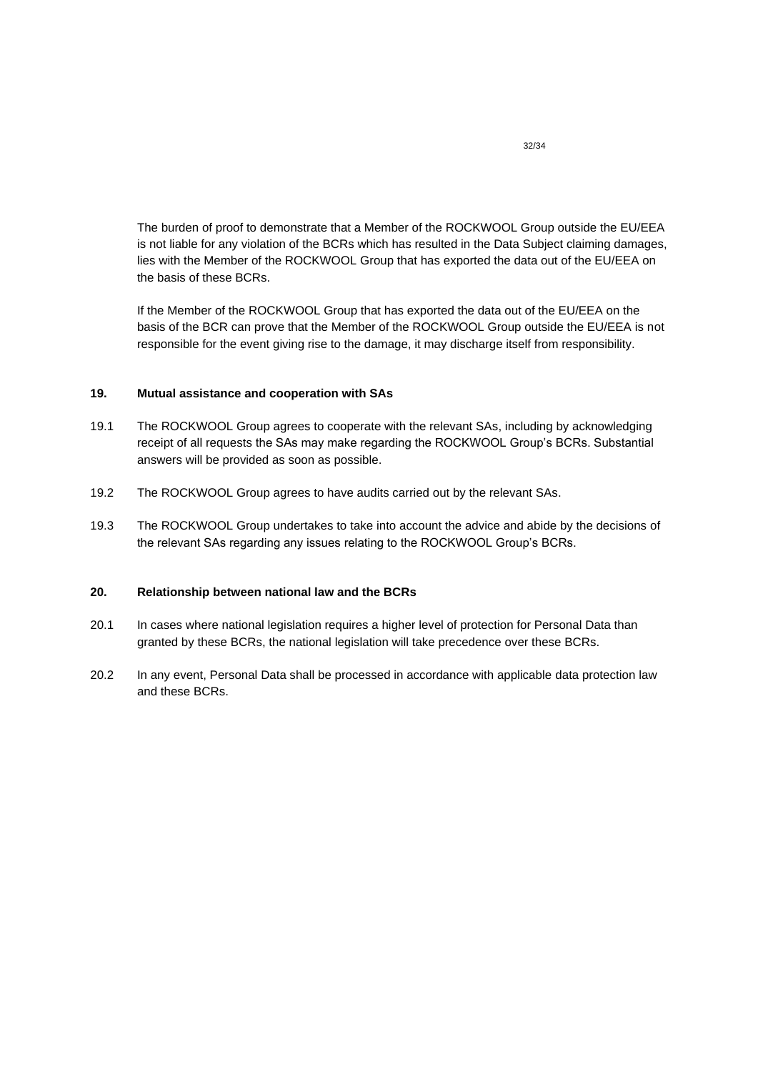The burden of proof to demonstrate that a Member of the ROCKWOOL Group outside the EU/EEA is not liable for any violation of the BCRs which has resulted in the Data Subject claiming damages, lies with the Member of the ROCKWOOL Group that has exported the data out of the EU/EEA on the basis of these BCRs.

If the Member of the ROCKWOOL Group that has exported the data out of the EU/EEA on the basis of the BCR can prove that the Member of the ROCKWOOL Group outside the EU/EEA is not responsible for the event giving rise to the damage, it may discharge itself from responsibility.

## <span id="page-31-0"></span>**19. Mutual assistance and cooperation with SAs**

- 19.1 The ROCKWOOL Group agrees to cooperate with the relevant SAs, including by acknowledging receipt of all requests the SAs may make regarding the ROCKWOOL Group's BCRs. Substantial answers will be provided as soon as possible.
- 19.2 The ROCKWOOL Group agrees to have audits carried out by the relevant SAs.
- 19.3 The ROCKWOOL Group undertakes to take into account the advice and abide by the decisions of the relevant SAs regarding any issues relating to the ROCKWOOL Group's BCRs.

## <span id="page-31-1"></span>**20. Relationship between national law and the BCRs**

- 20.1 In cases where national legislation requires a higher level of protection for Personal Data than granted by these BCRs, the national legislation will take precedence over these BCRs.
- 20.2 In any event, Personal Data shall be processed in accordance with applicable data protection law and these BCRs.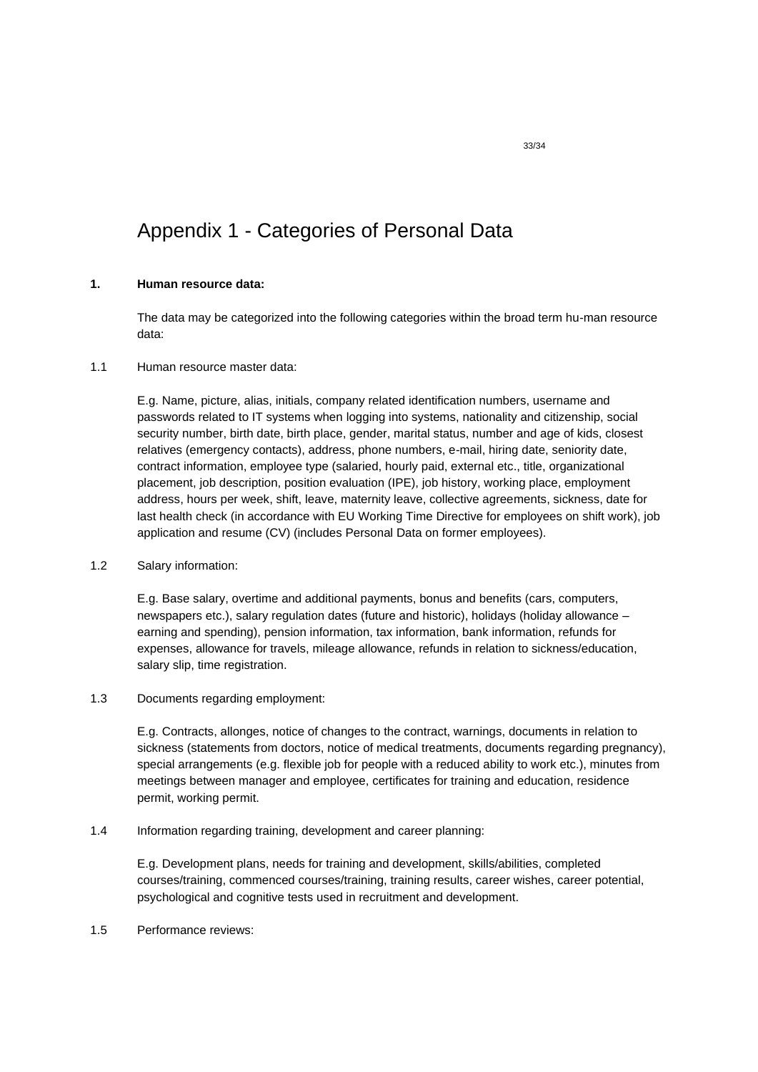# Appendix 1 - Categories of Personal Data

## <span id="page-32-0"></span>**1. Human resource data:**

The data may be categorized into the following categories within the broad term hu-man resource data:

## 1.1 Human resource master data:

E.g. Name, picture, alias, initials, company related identification numbers, username and passwords related to IT systems when logging into systems, nationality and citizenship, social security number, birth date, birth place, gender, marital status, number and age of kids, closest relatives (emergency contacts), address, phone numbers, e-mail, hiring date, seniority date, contract information, employee type (salaried, hourly paid, external etc., title, organizational placement, job description, position evaluation (IPE), job history, working place, employment address, hours per week, shift, leave, maternity leave, collective agreements, sickness, date for last health check (in accordance with EU Working Time Directive for employees on shift work), job application and resume (CV) (includes Personal Data on former employees).

# 1.2 Salary information:

E.g. Base salary, overtime and additional payments, bonus and benefits (cars, computers, newspapers etc.), salary regulation dates (future and historic), holidays (holiday allowance – earning and spending), pension information, tax information, bank information, refunds for expenses, allowance for travels, mileage allowance, refunds in relation to sickness/education, salary slip, time registration.

1.3 Documents regarding employment:

E.g. Contracts, allonges, notice of changes to the contract, warnings, documents in relation to sickness (statements from doctors, notice of medical treatments, documents regarding pregnancy), special arrangements (e.g. flexible job for people with a reduced ability to work etc.), minutes from meetings between manager and employee, certificates for training and education, residence permit, working permit.

1.4 Information regarding training, development and career planning:

E.g. Development plans, needs for training and development, skills/abilities, completed courses/training, commenced courses/training, training results, career wishes, career potential, psychological and cognitive tests used in recruitment and development.

1.5 Performance reviews: